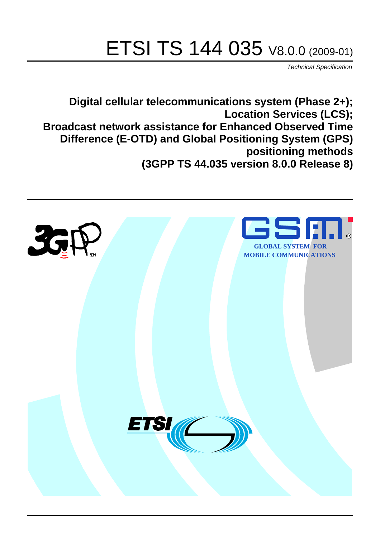# ETSI TS 144 035 V8.0.0 (2009-01)

*Technical Specification*

**Digital cellular telecommunications system (Phase 2+); Location Services (LCS); Broadcast network assistance for Enhanced Observed Time Difference (E-OTD) and Global Positioning System (GPS) positioning methods (3GPP TS 44.035 version 8.0.0 Release 8)**

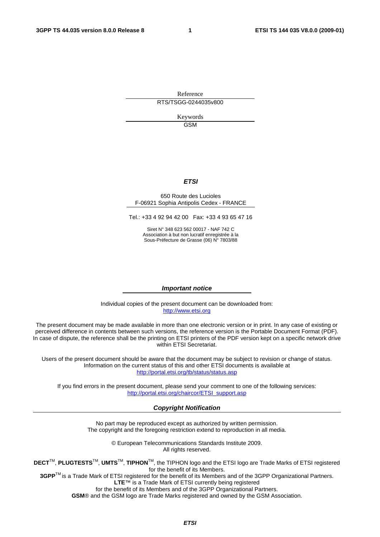Reference RTS/TSGG-0244035v800

> Keywords GSM

### *ETSI*

#### 650 Route des Lucioles F-06921 Sophia Antipolis Cedex - FRANCE

Tel.: +33 4 92 94 42 00 Fax: +33 4 93 65 47 16

Siret N° 348 623 562 00017 - NAF 742 C Association à but non lucratif enregistrée à la Sous-Préfecture de Grasse (06) N° 7803/88

#### *Important notice*

Individual copies of the present document can be downloaded from: [http://www.etsi.org](http://www.etsi.org/)

The present document may be made available in more than one electronic version or in print. In any case of existing or perceived difference in contents between such versions, the reference version is the Portable Document Format (PDF). In case of dispute, the reference shall be the printing on ETSI printers of the PDF version kept on a specific network drive within ETSI Secretariat.

Users of the present document should be aware that the document may be subject to revision or change of status. Information on the current status of this and other ETSI documents is available at <http://portal.etsi.org/tb/status/status.asp>

If you find errors in the present document, please send your comment to one of the following services: [http://portal.etsi.org/chaircor/ETSI\\_support.asp](http://portal.etsi.org/chaircor/ETSI_support.asp)

#### *Copyright Notification*

No part may be reproduced except as authorized by written permission. The copyright and the foregoing restriction extend to reproduction in all media.

> © European Telecommunications Standards Institute 2009. All rights reserved.

**DECT**TM, **PLUGTESTS**TM, **UMTS**TM, **TIPHON**TM, the TIPHON logo and the ETSI logo are Trade Marks of ETSI registered for the benefit of its Members.

**3GPP**TM is a Trade Mark of ETSI registered for the benefit of its Members and of the 3GPP Organizational Partners. **LTE**™ is a Trade Mark of ETSI currently being registered

for the benefit of its Members and of the 3GPP Organizational Partners.

**GSM**® and the GSM logo are Trade Marks registered and owned by the GSM Association.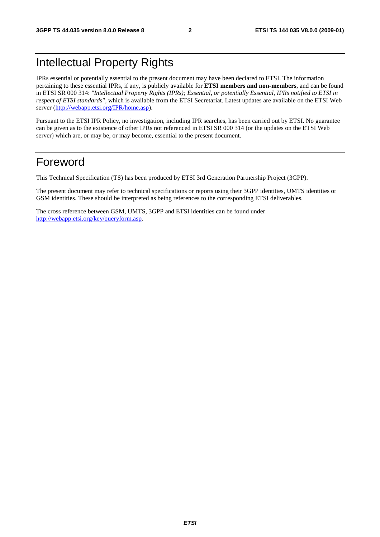# Intellectual Property Rights

IPRs essential or potentially essential to the present document may have been declared to ETSI. The information pertaining to these essential IPRs, if any, is publicly available for **ETSI members and non-members**, and can be found in ETSI SR 000 314: *"Intellectual Property Rights (IPRs); Essential, or potentially Essential, IPRs notified to ETSI in respect of ETSI standards"*, which is available from the ETSI Secretariat. Latest updates are available on the ETSI Web server ([http://webapp.etsi.org/IPR/home.asp\)](http://webapp.etsi.org/IPR/home.asp).

Pursuant to the ETSI IPR Policy, no investigation, including IPR searches, has been carried out by ETSI. No guarantee can be given as to the existence of other IPRs not referenced in ETSI SR 000 314 (or the updates on the ETSI Web server) which are, or may be, or may become, essential to the present document.

# Foreword

This Technical Specification (TS) has been produced by ETSI 3rd Generation Partnership Project (3GPP).

The present document may refer to technical specifications or reports using their 3GPP identities, UMTS identities or GSM identities. These should be interpreted as being references to the corresponding ETSI deliverables.

The cross reference between GSM, UMTS, 3GPP and ETSI identities can be found under [http://webapp.etsi.org/key/queryform.asp.](http://webapp.etsi.org/key/queryform.asp)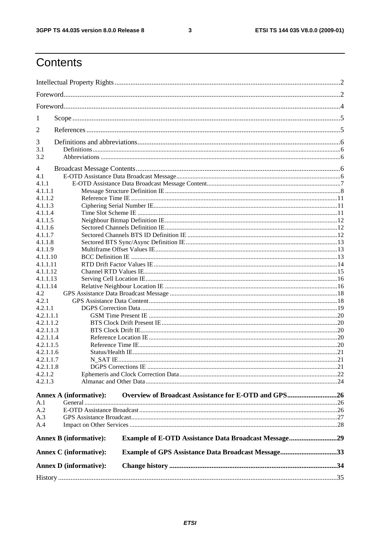$\mathbf{3}$ 

# Contents

| 1         |                               |                                                             |  |
|-----------|-------------------------------|-------------------------------------------------------------|--|
| 2         |                               |                                                             |  |
|           |                               |                                                             |  |
| 3<br>3.1  |                               |                                                             |  |
| 3.2       |                               |                                                             |  |
|           |                               |                                                             |  |
| 4<br>4.1  |                               |                                                             |  |
| 4.1.1     |                               |                                                             |  |
| 4.1.1.1   |                               |                                                             |  |
| 4.1.1.2   |                               |                                                             |  |
| 4.1.1.3   |                               |                                                             |  |
| 4.1.1.4   |                               |                                                             |  |
| 4.1.1.5   |                               |                                                             |  |
| 4.1.1.6   |                               |                                                             |  |
| 4.1.1.7   |                               |                                                             |  |
| 4.1.1.8   |                               |                                                             |  |
| 4.1.1.9   |                               |                                                             |  |
| 4.1.1.10  |                               |                                                             |  |
| 4.1.1.11  |                               |                                                             |  |
| 4.1.1.12  |                               |                                                             |  |
| 4.1.1.13  |                               |                                                             |  |
| 4.1.1.14  |                               |                                                             |  |
| 4.2       |                               |                                                             |  |
| 4.2.1     |                               |                                                             |  |
| 4.2.1.1   |                               |                                                             |  |
| 4.2.1.1.1 |                               |                                                             |  |
| 4.2.1.1.2 |                               |                                                             |  |
|           |                               |                                                             |  |
| 4.2.1.1.3 |                               |                                                             |  |
| 4.2.1.1.4 |                               |                                                             |  |
| 4.2.1.1.5 |                               |                                                             |  |
| 4.2.1.1.6 |                               |                                                             |  |
| 4.2.1.1.7 |                               |                                                             |  |
| 4.2.1.1.8 |                               |                                                             |  |
| 4.2.1.2   |                               |                                                             |  |
| 4.2.1.3   |                               |                                                             |  |
|           | <b>Annex A (informative):</b> | Overview of Broadcast Assistance for E-OTD and GPS26        |  |
| A.1       |                               |                                                             |  |
| A.2       |                               |                                                             |  |
| A.3       |                               |                                                             |  |
| A.4       |                               |                                                             |  |
|           | <b>Annex B</b> (informative): | <b>Example of E-OTD Assistance Data Broadcast Message29</b> |  |
|           | <b>Annex C</b> (informative): | <b>Example of GPS Assistance Data Broadcast Message33</b>   |  |
|           | <b>Annex D</b> (informative): |                                                             |  |
|           |                               |                                                             |  |
|           |                               |                                                             |  |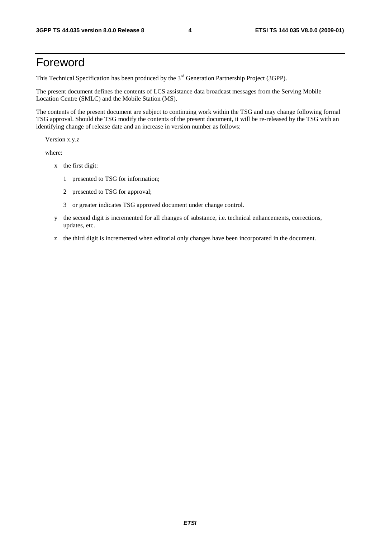# Foreword

This Technical Specification has been produced by the 3<sup>rd</sup> Generation Partnership Project (3GPP).

The present document defines the contents of LCS assistance data broadcast messages from the Serving Mobile Location Centre (SMLC) and the Mobile Station (MS).

The contents of the present document are subject to continuing work within the TSG and may change following formal TSG approval. Should the TSG modify the contents of the present document, it will be re-released by the TSG with an identifying change of release date and an increase in version number as follows:

Version x.y.z

where:

- x the first digit:
	- 1 presented to TSG for information;
	- 2 presented to TSG for approval;
	- 3 or greater indicates TSG approved document under change control.
- y the second digit is incremented for all changes of substance, i.e. technical enhancements, corrections, updates, etc.
- z the third digit is incremented when editorial only changes have been incorporated in the document.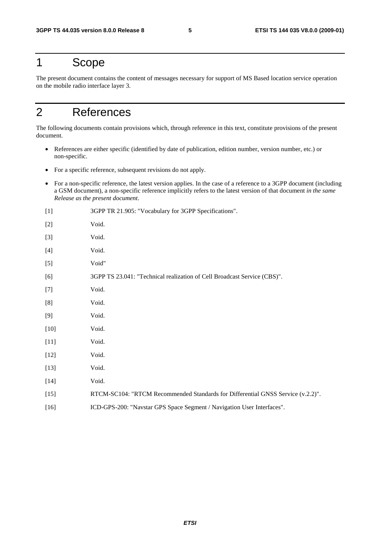# 1 Scope

The present document contains the content of messages necessary for support of MS Based location service operation on the mobile radio interface layer 3.

# 2 References

The following documents contain provisions which, through reference in this text, constitute provisions of the present document.

- References are either specific (identified by date of publication, edition number, version number, etc.) or non-specific.
- For a specific reference, subsequent revisions do not apply.
- For a non-specific reference, the latest version applies. In the case of a reference to a 3GPP document (including a GSM document), a non-specific reference implicitly refers to the latest version of that document *in the same Release as the present document*.

| $[1]$  | 3GPP TR 21.905: "Vocabulary for 3GPP Specifications".                           |
|--------|---------------------------------------------------------------------------------|
| $[2]$  | Void.                                                                           |
| $[3]$  | Void.                                                                           |
| $[4]$  | Void.                                                                           |
| $[5]$  | Void"                                                                           |
| [6]    | 3GPP TS 23.041: "Technical realization of Cell Broadcast Service (CBS)".        |
| $[7]$  | Void.                                                                           |
| [8]    | Void.                                                                           |
| [9]    | Void.                                                                           |
| $[10]$ | Void.                                                                           |
| $[11]$ | Void.                                                                           |
| $[12]$ | Void.                                                                           |
| $[13]$ | Void.                                                                           |
| $[14]$ | Void.                                                                           |
| $[15]$ | RTCM-SC104: "RTCM Recommended Standards for Differential GNSS Service (v.2.2)". |
| $[16]$ | ICD-GPS-200: "Navstar GPS Space Segment / Navigation User Interfaces".          |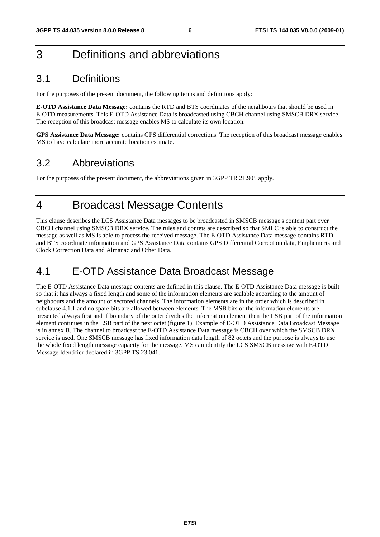# 3 Definitions and abbreviations

# 3.1 Definitions

For the purposes of the present document, the following terms and definitions apply:

**E-OTD Assistance Data Message:** contains the RTD and BTS coordinates of the neighbours that should be used in E-OTD measurements. This E-OTD Assistance Data is broadcasted using CBCH channel using SMSCB DRX service. The reception of this broadcast message enables MS to calculate its own location.

**GPS Assistance Data Message:** contains GPS differential corrections. The reception of this broadcast message enables MS to have calculate more accurate location estimate.

# 3.2 Abbreviations

For the purposes of the present document, the abbreviations given in 3GPP TR 21.905 apply.

# 4 Broadcast Message Contents

This clause describes the LCS Assistance Data messages to be broadcasted in SMSCB message's content part over CBCH channel using SMSCB DRX service. The rules and contets are described so that SMLC is able to construct the message as well as MS is able to process the received message. The E-OTD Assistance Data message contains RTD and BTS coordinate information and GPS Assistance Data contains GPS Differential Correction data, Emphemeris and Clock Correction Data and Almanac and Other Data.

# 4.1 E-OTD Assistance Data Broadcast Message

The E-OTD Assistance Data message contents are defined in this clause. The E-OTD Assistance Data message is built so that it has always a fixed length and some of the information elements are scalable according to the amount of neighbours and the amount of sectored channels. The information elements are in the order which is described in subclause 4.1.1 and no spare bits are allowed between elements. The MSB bits of the information elements are presented always first and if boundary of the octet divides the information element then the LSB part of the information element continues in the LSB part of the next octet (figure 1). Example of E-OTD Assistance Data Broadcast Message is in annex B. The channel to broadcast the E-OTD Assistance Data message is CBCH over which the SMSCB DRX service is used. One SMSCB message has fixed information data length of 82 octets and the purpose is always to use the whole fixed length message capacity for the message. MS can identify the LCS SMSCB message with E-OTD Message Identifier declared in 3GPP TS 23.041.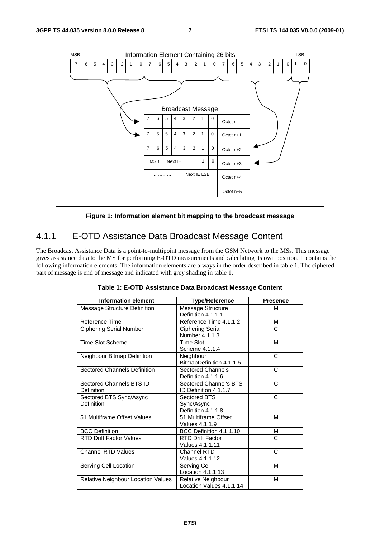

**Figure 1: Information element bit mapping to the broadcast message** 

# 4.1.1 E-OTD Assistance Data Broadcast Message Content

The Broadcast Assistance Data is a point-to-multipoint message from the GSM Network to the MSs. This message gives assistance data to the MS for performing E-OTD measurements and calculating its own position. It contains the following information elements. The information elements are always in the order described in table 1. The ciphered part of message is end of message and indicated with grey shading in table 1.

| <b>Information element</b>             | <b>Type/Reference</b>                            | <b>Presence</b> |
|----------------------------------------|--------------------------------------------------|-----------------|
| Message Structure Definition           | Message Structure<br>Definition 4.1.1.1          | M               |
| Reference Time                         | Reference Time 4.1.1.2                           | М               |
| <b>Ciphering Serial Number</b>         | <b>Ciphering Serial</b><br>Number 4.1.1.3        | C               |
| <b>Time Slot Scheme</b>                | <b>Time Slot</b><br>Scheme 4.1.1.4               | М               |
| Neighbour Bitmap Definition            | Neighbour<br>BitmapDefinition 4.1.1.5            | C               |
| <b>Sectored Channels Definition</b>    | <b>Sectored Channels</b><br>Definition 4.1.1.6   | C               |
| Sectored Channels BTS ID<br>Definition | Sectored Channel's BTS<br>ID Definition 4.1.1.7  | C               |
| Sectored BTS Sync/Async<br>Definition  | Sectored BTS<br>Sync/Async<br>Definition 4.1.1.8 | C               |
| 51 Multiframe Offset Values            | 51 Multiframe Offset<br>Values 4.1.1.9           | M               |
| <b>BCC Definition</b>                  | BCC Definition 4.1.1.10                          | М               |
| <b>RTD Drift Factor Values</b>         | <b>RTD Drift Factor</b><br>Values 4.1.1.11       | C               |
| <b>Channel RTD Values</b>              | Channel RTD<br>Values 4.1.1.12                   | C               |
| Serving Cell Location                  | Serving Cell<br>Location 4.1.1.13                | M               |
| Relative Neighbour Location Values     | Relative Neighbour<br>Location Values 4.1.1.14   | М               |

**Table 1: E-OTD Assistance Data Broadcast Message Content**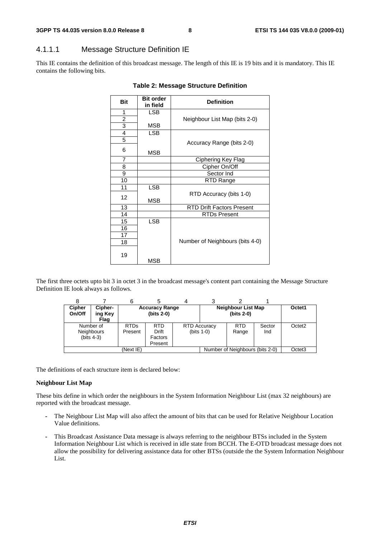## 4.1.1.1 Message Structure Definition IE

This IE contains the definition of this broadcast message. The length of this IE is 19 bits and it is mandatory. This IE contains the following bits.

| <b>Bit</b>              | <b>Bit order</b><br>in field | <b>Definition</b>                |
|-------------------------|------------------------------|----------------------------------|
| 1                       | <b>LSB</b>                   |                                  |
| $\overline{\mathbf{c}}$ |                              | Neighbour List Map (bits 2-0)    |
| 3                       | MSB                          |                                  |
| $\overline{4}$          | <b>LSB</b>                   |                                  |
| $\overline{5}$          |                              | Accuracy Range (bits 2-0)        |
| 6                       | <b>MSB</b>                   |                                  |
| 7                       |                              | Ciphering Key Flag               |
| 8                       |                              | Cipher On/Off                    |
| 9                       |                              | Sector Ind                       |
| 10                      |                              | RTD Range                        |
| 11                      | <b>LSB</b>                   |                                  |
| 12                      | <b>MSB</b>                   | RTD Accuracy (bits 1-0)          |
| 13                      |                              | <b>RTD Drift Factors Present</b> |
| 14                      |                              | RTDs Present                     |
| 15                      | <b>LSB</b>                   |                                  |
| 16                      |                              |                                  |
| 17                      |                              |                                  |
| 18                      |                              | Number of Neighbours (bits 4-0)  |
| 19                      | MSB                          |                                  |

#### **Table 2: Message Structure Definition**

The first three octets upto bit 3 in octet 3 in the broadcast message's content part containing the Message Structure Definition IE look always as follows.

|                                                |                            | 6                      |                                       |                                     |                                           |               |                    |
|------------------------------------------------|----------------------------|------------------------|---------------------------------------|-------------------------------------|-------------------------------------------|---------------|--------------------|
| <b>Cipher</b><br>On/Off                        | Cipher-<br>ing Key<br>Flag |                        | <b>Accuracy Range</b><br>$(bits 2-0)$ |                                     | <b>Neighbour List Map</b><br>$(bits 2-0)$ |               | Octet1             |
| Number of<br><b>Neighbours</b><br>$(bits 4-3)$ |                            | <b>RTDs</b><br>Present | <b>RTD</b><br><b>Drift</b><br>Factors | <b>RTD Accuracy</b><br>$(bits 1-0)$ | <b>RTD</b><br>Range                       | Sector<br>Ind | Octet <sub>2</sub> |
| (Next IE)                                      |                            |                        | Present                               |                                     | Number of Neighbours (bits 2-0)           |               | Octet <sub>3</sub> |

The definitions of each structure item is declared below:

#### **Neighbour List Map**

These bits define in which order the neighbours in the System Information Neighbour List (max 32 neighbours) are reported with the broadcast message.

- The Neighbour List Map will also affect the amount of bits that can be used for Relative Neighbour Location Value definitions.
- This Broadcast Assistance Data message is always referring to the neighbour BTSs included in the System Information Neighbour List which is received in idle state from BCCH. The E-OTD broadcast message does not allow the possibility for delivering assistance data for other BTSs (outside the the System Information Neighbour List.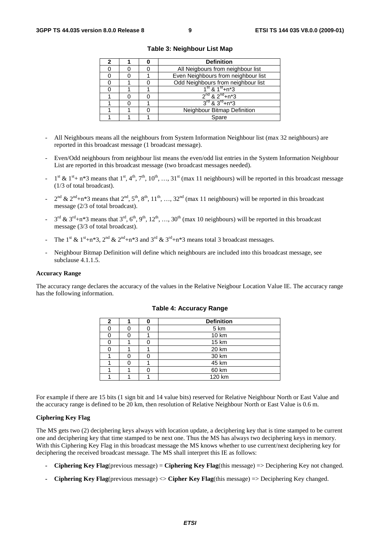|  | <b>Definition</b>                      |  |  |  |
|--|----------------------------------------|--|--|--|
|  | All Neigbours from neighbour list      |  |  |  |
|  | Even Neighbours from neighbour list    |  |  |  |
|  | Odd Neighbours from neighbour list     |  |  |  |
|  | $1^{\text{st}}$ & $1^{\text{st}}$ +n*3 |  |  |  |
|  | $2^{nd}$ & $2^{nd}$ +n*3               |  |  |  |
|  | $3^{rd}$ & $3^{rd}$ +n*3               |  |  |  |
|  | Neighbour Bitmap Definition            |  |  |  |
|  | Spare                                  |  |  |  |

**Table 3: Neighbour List Map** 

- All Neighbours means all the neighbours from System Information Neighbour list (max 32 neighbours) are reported in this broadcast message (1 broadcast message).
- Even/Odd neighbours from neighbour list means the even/odd list entries in the System Information Neighbour List are reported in this broadcast message (two broadcast messages needed).
- $1^{st}$  &  $1^{st}$  + n\*3 means that  $1^{st}$ ,  $4^{th}$ ,  $7^{th}$ ,  $10^{th}$ , ...,  $31^{st}$  (max 11 neighbours) will be reported in this broadcast message (1/3 of total broadcast).
- $2^{nd}$  &  $2^{nd}$ +n\*3 means that  $2^{nd}$ ,  $5^{th}$ ,  $8^{th}$ ,  $11^{th}$ , …,  $32^{nd}$  (max 11 neighbours) will be reported in this broadcast message (2/3 of total broadcast).
- $3^{\text{rd}}$  &  $3^{\text{rd}}+n*3$  means that  $3^{\text{rd}}, 6^{\text{th}}, 9^{\text{th}}, 12^{\text{th}}, ..., 30^{\text{th}}$  (max 10 neighbours) will be reported in this broadcast message (3/3 of total broadcast).
- The 1<sup>st</sup> & 1<sup>st</sup>+n\*3, 2<sup>nd</sup> & 2<sup>nd</sup>+n\*3 and 3<sup>rd</sup> & 3<sup>rd</sup>+n\*3 means total 3 broadcast messages.
- Neighbour Bitmap Definition will define which neighbours are included into this broadcast message, see subclause 4.1.1.5.

#### **Accuracy Range**

The accuracy range declares the accuracy of the values in the Relative Neigbour Location Value IE. The accuracy range has the following information.

| 2 |  | <b>Definition</b> |  |  |  |  |
|---|--|-------------------|--|--|--|--|
|   |  | 5 km              |  |  |  |  |
|   |  | 10 km             |  |  |  |  |
|   |  | 15 km             |  |  |  |  |
|   |  | 20 km             |  |  |  |  |
|   |  | 30 km             |  |  |  |  |
|   |  | 45 km             |  |  |  |  |
|   |  | 60 km             |  |  |  |  |
|   |  | 120 km            |  |  |  |  |

#### **Table 4: Accuracy Range**

For example if there are 15 bits (1 sign bit and 14 value bits) reserved for Relative Neighbour North or East Value and the accuracy range is defined to be 20 km, then resolution of Relative Neighbour North or East Value is 0.6 m.

#### **Ciphering Key Flag**

The MS gets two (2) deciphering keys always with location update, a deciphering key that is time stamped to be current one and deciphering key that time stamped to be next one. Thus the MS has always two deciphering keys in memory. With this Ciphering Key Flag in this broadcast message the MS knows whether to use current/next deciphering key for deciphering the received broadcast message. The MS shall interpret this IE as follows:

- **Ciphering Key Flag**(previous message) = **Ciphering Key Flag**(this message) => Deciphering Key not changed.
- **Ciphering Key Flag**(previous message) <> **Cipher Key Flag**(this message) => Deciphering Key changed.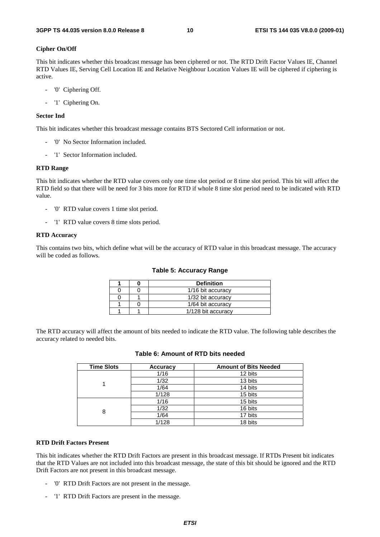#### **Cipher On/Off**

This bit indicates whether this broadcast message has been ciphered or not. The RTD Drift Factor Values IE, Channel RTD Values IE, Serving Cell Location IE and Relative Neighbour Location Values IE will be ciphered if ciphering is active.

- '0' Ciphering Off.
- '1' Ciphering On.

#### **Sector Ind**

This bit indicates whether this broadcast message contains BTS Sectored Cell information or not.

- '0' No Sector Information included.
- '1' Sector Information included.

#### **RTD Range**

This bit indicates whether the RTD value covers only one time slot period or 8 time slot period. This bit will affect the RTD field so that there will be need for 3 bits more for RTD if whole 8 time slot period need to be indicated with RTD value.

- '0' RTD value covers 1 time slot period.
- '1' RTD value covers 8 time slots period.

#### **RTD Accuracy**

This contains two bits, which define what will be the accuracy of RTD value in this broadcast message. The accuracy will be coded as follows.

|  | <b>Definition</b>  |  |  |  |  |
|--|--------------------|--|--|--|--|
|  | 1/16 bit accuracy  |  |  |  |  |
|  | 1/32 bit accuracy  |  |  |  |  |
|  | 1/64 bit accuracy  |  |  |  |  |
|  | 1/128 bit accuracy |  |  |  |  |

The RTD accuracy will affect the amount of bits needed to indicate the RTD value. The following table describes the accuracy related to needed bits.

| <b>Time Slots</b> | <b>Accuracy</b> | <b>Amount of Bits Needed</b> |
|-------------------|-----------------|------------------------------|
|                   | 1/16            | 12 bits                      |
|                   | 1/32            | 13 bits                      |
|                   | 1/64            | 14 bits                      |
|                   | 1/128           | 15 bits                      |
|                   | 1/16            | 15 bits                      |
| 8                 | 1/32            | 16 bits                      |
|                   | 1/64            | 17 bits                      |
|                   | 1/128           | 18 bits                      |

### **Table 6: Amount of RTD bits needed**

#### **RTD Drift Factors Present**

This bit indicates whether the RTD Drift Factors are present in this broadcast message. If RTDs Present bit indicates that the RTD Values are not included into this broadcast message, the state of this bit should be ignored and the RTD Drift Factors are not present in this broadcast message.

- '0' RTD Drift Factors are not present in the message.
- '1' RTD Drift Factors are present in the message.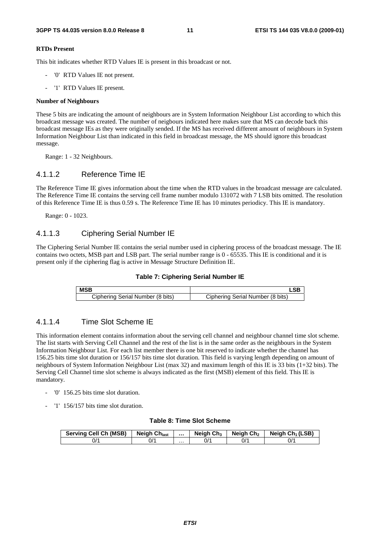#### **RTDs Present**

This bit indicates whether RTD Values IE is present in this broadcast or not.

- '0' RTD Values IE not present.
- '1' RTD Values IE present.

#### **Number of Neighbours**

These 5 bits are indicating the amount of neighbours are in System Information Neighbour List according to which this broadcast message was created. The number of neigbours indicated here makes sure that MS can decode back this broadcast message IEs as they were originally sended. If the MS has received different amount of neighbours in System Information Neighbour List than indicated in this field in broadcast message, the MS should ignore this broadcast message.

Range: 1 - 32 Neighbours.

### 4.1.1.2 Reference Time IE

The Reference Time IE gives information about the time when the RTD values in the broadcast message are calculated. The Reference Time IE contains the serving cell frame number modulo 131072 with 7 LSB bits omitted. The resolution of this Reference Time IE is thus 0.59 s. The Reference Time IE has 10 minutes periodicy. This IE is mandatory.

Range: 0 - 1023.

### 4.1.1.3 Ciphering Serial Number IE

The Ciphering Serial Number IE contains the serial number used in ciphering process of the broadcast message. The IE contains two octets, MSB part and LSB part. The serial number range is 0 - 65535. This IE is conditional and it is present only if the ciphering flag is active in Message Structure Definition IE.



| <b>MSB</b>                       |                                  |  |  |  |
|----------------------------------|----------------------------------|--|--|--|
| Ciphering Serial Number (8 bits) | Ciphering Serial Number (8 bits) |  |  |  |

### 4.1.1.4 Time Slot Scheme IE

This information element contains information about the serving cell channel and neighbour channel time slot scheme. The list starts with Serving Cell Channel and the rest of the list is in the same order as the neighbours in the System Information Neighbour List. For each list member there is one bit reserved to indicate whether the channel has 156.25 bits time slot duration or 156/157 bits time slot duration. This field is varying length depending on amount of neighbours of System Information Neighbour List (max 32) and maximum length of this IE is 33 bits (1+32 bits). The Serving Cell Channel time slot scheme is always indicated as the first (MSB) element of this field. This IE is mandatory.

- '0' 156.25 bits time slot duration.
- '1' 156/157 bits time slot duration.

#### **Table 8: Time Slot Scheme**

| <b>Serving Cell Ch (MSB)</b> | <b>Neigh Chlast</b> |   | <b>Neigh Ch<sub>3</sub></b> | Neigh Ch <sub>2</sub> | Neigh Ch <sub>1</sub> (LSB) |
|------------------------------|---------------------|---|-----------------------------|-----------------------|-----------------------------|
| 0/1                          | 0/1                 | . | 0/1                         | 0/1                   | 0/1                         |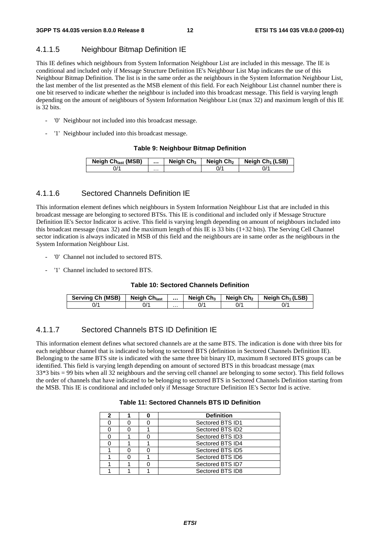### 4.1.1.5 Neighbour Bitmap Definition IE

This IE defines which neighbours from System Information Neighbour List are included in this message. The IE is conditional and included only if Message Structure Definition IE's Neighbour List Map indicates the use of this Neighbour Bitmap Definition. The list is in the same order as the neighbours in the System Information Neighbour List, the last member of the list presented as the MSB element of this field. For each Neighbour List channel number there is one bit reserved to indicate whether the neighbour is included into this broadcast message. This field is varying length depending on the amount of neighbours of System Information Neighbour List (max 32) and maximum length of this IE is 32 bits.

- '0' Neighbour not included into this broadcast message.
- '1' Neighbour included into this broadcast message.

#### **Table 9: Neighbour Bitmap Definition**

| <b>Neigh Ch<sub>last</sub></b> (MSB) |   | Neigh $Ch3$ | Neigh Ch <sub>2</sub> | Neigh $Ch_1(LSB)$ |
|--------------------------------------|---|-------------|-----------------------|-------------------|
| J'                                   | . |             | J/'                   |                   |

### 4.1.1.6 Sectored Channels Definition IE

This information element defines which neighbours in System Information Neighbour List that are included in this broadcast message are belonging to sectored BTSs. This IE is conditional and included only if Message Structure Definition IE's Sector Indicator is active. This field is varying length depending on amount of neighbours included into this broadcast message (max 32) and the maximum length of this IE is 33 bits (1+32 bits). The Serving Cell Channel sector indication is always indicated in MSB of this field and the neighbours are in same order as the neighbours in the System Information Neighbour List.

- '0' Channel not included to sectored BTS.
- '1' Channel included to sectored BTS.

#### **Table 10: Sectored Channels Definition**

| <b>Serving Ch (MSB)</b> | <b>Neigh Chlast</b> |   | Neigh $Ch3$ | Neiah Ch2 | Neigh $Ch_1(LSB)$ |
|-------------------------|---------------------|---|-------------|-----------|-------------------|
| J/'                     | ^/(                 | . |             | 0'        | ^/0               |

### 4.1.1.7 Sectored Channels BTS ID Definition IE

This information element defines what sectored channels are at the same BTS. The indication is done with three bits for each neighbour channel that is indicated to belong to sectored BTS (definition in Sectored Channels Definition IE). Belonging to the same BTS site is indicated with the same three bit binary ID, maximum 8 sectored BTS groups can be identified. This field is varying length depending on amount of sectored BTS in this broadcast message (max 33\*3 bits = 99 bits when all 32 neighbours and the serving cell channel are belonging to some sector). This field follows the order of channels that have indicated to be belonging to sectored BTS in Sectored Channels Definition starting from the MSB. This IE is conditional and included only if Message Structure Definition IE's Sector Ind is active.

#### **Table 11: Sectored Channels BTS ID Definition**

| 2 |  | <b>Definition</b> |  |
|---|--|-------------------|--|
|   |  | Sectored BTS ID1  |  |
|   |  | Sectored BTS ID2  |  |
|   |  | Sectored BTS ID3  |  |
|   |  | Sectored BTS ID4  |  |
|   |  | Sectored BTS ID5  |  |
|   |  | Sectored BTS ID6  |  |
|   |  | Sectored BTS ID7  |  |
|   |  | Sectored BTS ID8  |  |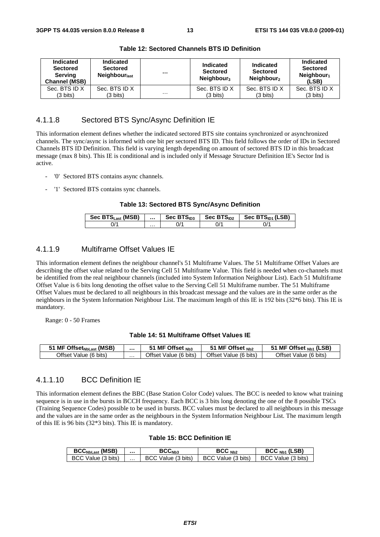| Indicated<br><b>Sectored</b><br>Serving<br><b>Channel (MSB)</b> | <b>Indicated</b><br><b>Sectored</b><br><b>Neighbour</b> <sub>last</sub> |          | <b>Indicated</b><br><b>Sectored</b><br>Neighbour <sub>3</sub> | Indicated<br><b>Sectored</b><br>Neighbour <sub>2</sub> | Indicated<br><b>Sectored</b><br>Neighbour <sub>1</sub><br>(LSB) |
|-----------------------------------------------------------------|-------------------------------------------------------------------------|----------|---------------------------------------------------------------|--------------------------------------------------------|-----------------------------------------------------------------|
| Sec. BTS ID X                                                   | Sec. BTS ID X                                                           |          | Sec. BTS ID X                                                 | Sec. BTS ID X                                          | Sec. BTS ID X                                                   |
| (3 bits)                                                        | (3 bits)                                                                | $\cdots$ | (3 bits)                                                      | (3 bits)                                               | $(3 \text{ bits})$                                              |

**Table 12: Sectored Channels BTS ID Definition** 

### 4.1.1.8 Sectored BTS Sync/Async Definition IE

This information element defines whether the indicated sectored BTS site contains synchronized or asynchronized channels. The sync/async is informed with one bit per sectored BTS ID. This field follows the order of IDs in Sectored Channels BTS ID Definition. This field is varying length depending on amount of sectored BTS ID in this broadcast message (max 8 bits). This IE is conditional and is included only if Message Structure Definition IE's Sector Ind is active.

- '0' Sectored BTS contains async channels.
- '1' Sectored BTS contains sync channels.

#### **Table 13: Sectored BTS Sync/Async Definition**

| Sec BTS <sub>Last</sub> (MSB) | $\cdots$ | Sec $BTS1D3$ | Sec $BTSID2$ | Sec $BTSID1$ (LSB) |
|-------------------------------|----------|--------------|--------------|--------------------|
|                               | .        |              |              | U/                 |

### 4.1.1.9 Multiframe Offset Values IE

This information element defines the neighbour channel's 51 Multiframe Values. The 51 Multiframe Offset Values are describing the offset value related to the Serving Cell 51 Multiframe Value. This field is needed when co-channels must be identified from the real neighbour channels (included into System Information Neighbour List). Each 51 Multiframe Offset Value is 6 bits long denoting the offset value to the Serving Cell 51 Multiframe number. The 51 Multiframe Offset Values must be declared to all neighbours in this broadcast message and the values are in the same order as the neighbours in the System Information Neighbour List. The maximum length of this IE is 192 bits (32\*6 bits). This IE is mandatory.

Range: 0 - 50 Frames

#### **Table 14: 51 Multiframe Offset Values IE**

| (MSB)<br>$\blacksquare$ Offset <sub>NbLast</sub><br>MF |   | MF Offset Nb3                 | MF Offset $_{Nb2}$              | (LSB)<br>MF Offset Nb1                |
|--------------------------------------------------------|---|-------------------------------|---------------------------------|---------------------------------------|
| <b>Offset</b><br>$(6 \text{ bits})$<br>Value .         | . | ⊖ (6 bits)<br>)ffset<br>value | <b>Offset</b><br>Value (6 bits) | bits)<br>(6<br><b>Offset</b><br>'alue |

### 4.1.1.10 BCC Definition IE

This information element defines the BBC (Base Station Color Code) values. The BCC is needed to know what training sequence is in use in the bursts in BCCH frequency. Each BCC is 3 bits long denoting the one of the 8 possible TSCs (Training Sequence Codes) possible to be used in bursts. BCC values must be declared to all neighbours in this message and the values are in the same order as the neighbours in the System Information Neighbour List. The maximum length of this IE is 96 bits (32\*3 bits). This IE is mandatory.

#### **Table 15: BCC Definition IE**

| <b>BCC<sub>NbLast</sub></b> (MSB) |          | <b>Bしし</b> №8          | $BCC_{Nh2}$                  | $BCCNb1$ (LSB)     |
|-----------------------------------|----------|------------------------|------------------------------|--------------------|
| BCC Value (3 bits)                | $\cdots$ | Value (3 bits)<br>BC:C | Value (3 bits)<br><b>BCC</b> | BCC Value (3 bits) |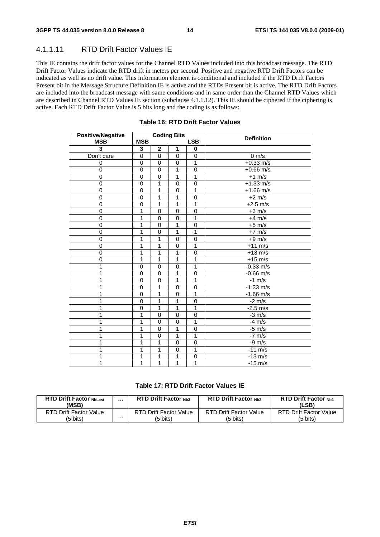### 4.1.1.11 RTD Drift Factor Values IE

This IE contains the drift factor values for the Channel RTD Values included into this broadcast message. The RTD Drift Factor Values indicate the RTD drift in meters per second. Positive and negative RTD Drift Factors can be indicated as well as no drift value. This information element is conditional and included if the RTD Drift Factors Present bit in the Message Structure Definition IE is active and the RTDs Present bit is active. The RTD Drift Factors are included into the broadcast message with same conditions and in same order than the Channel RTD Values which are described in Channel RTD Values IE section (subclause 4.1.1.12). This IE should be ciphered if the ciphering is active. Each RTD Drift Factor Value is 5 bits long and the coding is as follows:

| <b>Positive/Negative</b> |              |                | <b>Coding Bits</b> |              | <b>Definition</b> |
|--------------------------|--------------|----------------|--------------------|--------------|-------------------|
| <b>MSB</b>               | <b>MSB</b>   |                |                    | <b>LSB</b>   |                   |
| 3                        | 3            | $\mathbf 2$    | 1                  | 0            |                   |
| Don't care               | $\mathbf 0$  | $\mathbf 0$    | $\mathbf 0$        | 0            | $0 \text{ m/s}$   |
| 0                        | 0            | 0              | $\mathbf 0$        | 1            | $+0.33$ m/s       |
| $\mathbf 0$              | $\mathbf 0$  | $\mathbf 0$    | 1                  | $\mathbf 0$  | $+0.66$ m/s       |
| 0                        | $\mathbf 0$  | $\pmb{0}$      | 1                  | 1            | $+1$ m/s          |
| $\pmb{0}$                | $\mathbf 0$  | 1              | $\mathbf 0$        | 0            | $+1.33$ m/s       |
| $\overline{0}$           | $\mathbf 0$  | 1              | $\mathbf 0$        | 1            | $+1.66$ m/s       |
| 0                        | $\mathbf 0$  | 1              | 1                  | 0            | $+2$ m/s          |
| $\mathbf 0$              | $\mathbf 0$  | 1              | 1                  | $\mathbf{1}$ | $+2.5$ m/s        |
| $\mathbf 0$              | 1            | $\mathbf 0$    | $\mathbf 0$        | 0            | $+3$ m/s          |
| $\mathbf 0$              | 1            | 0              | $\mathbf 0$        | 1            | $+4$ m/s          |
| $\mathbf 0$              | 1            | $\mathbf 0$    | 1                  | 0            | $+5$ m/s          |
| 0                        | 1            | $\mathbf 0$    | 1                  | 1            | $+7$ m/s          |
| $\mathbf 0$              | 1            | 1              | $\overline{0}$     | $\mathbf 0$  | $+9$ m/s          |
| 0                        | 1            | 1              | $\mathbf 0$        | 1            | $+11$ m/s         |
| $\mathbf 0$              | 1            | 1              | 1                  | $\pmb{0}$    | $+13$ m/s         |
| $\overline{0}$           | 1            | 1              | 1                  | 1            | $+15$ m/s         |
|                          | $\mathbf 0$  | $\mathbf 0$    | $\mathbf 0$        | 1            | $-0.33$ m/s       |
|                          | 0            | $\pmb{0}$      | 1                  | 0            | $-0.66$ m/s       |
|                          | $\mathbf 0$  | 0              | 1                  | 1            | $-1$ m/s          |
|                          | $\mathbf{0}$ | 1              | $\Omega$           | $\Omega$     | $-1.33$ m/s       |
|                          | $\mathbf 0$  | 1              | $\Omega$           | 1            | $-1.66$ m/s       |
|                          | $\mathbf 0$  | 1              | 1                  | $\mathbf 0$  | $-2 \text{ m/s}$  |
|                          | 0            | 1              | 1                  | 1            | $-2.5$ m/s        |
|                          | 1            | 0              | $\mathbf 0$        | 0            | $-3$ m/s          |
|                          | 1            | 0              | $\mathbf 0$        | 1            | $-4$ m/s          |
| 1                        | 1            | $\mathbf 0$    | 1                  | $\mathbf 0$  | $-5$ m/s          |
|                          | 1            | $\overline{0}$ | 1                  | $\mathbf{1}$ | $-7$ m/s          |
|                          | 1            | 1              | $\mathbf 0$        | $\pmb{0}$    | $-9$ m/s          |
|                          | 1            | 1              | $\mathbf 0$        | 1            | $-11$ m/s         |
|                          | 1            | 1              | 1                  | $\mathbf 0$  | $-13$ m/s         |
| 1                        | 1            | 1              | 1                  | 1            | $-15$ m/s         |

#### **Table 16: RTD Drift Factor Values**

#### **Table 17: RTD Drift Factor Values IE**

| <b>RTD Drift Factor NbLast</b><br>(MSB) |   | <b>RTD Drift Factor Nh3</b> | <b>RTD Drift Factor Nh2</b>   | <b>RTD Drift Factor Nb1</b><br>(LSB) |
|-----------------------------------------|---|-----------------------------|-------------------------------|--------------------------------------|
| RTD Drift Factor Value                  | . | RTD Drift Factor Value      | <b>RTD Drift Factor Value</b> | RTD Drift Factor Value               |
| (5 bits)                                |   | (5 bits)                    | (5 bits)                      | (5 bits)                             |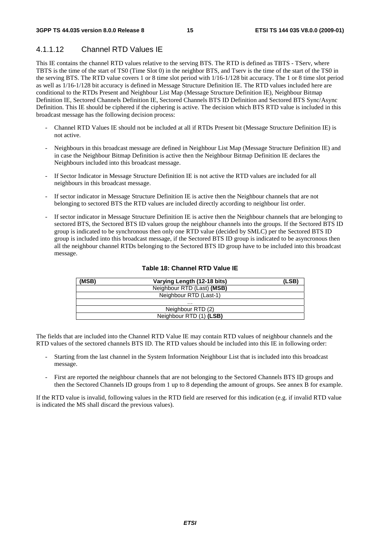# 4.1.1.12 Channel RTD Values IE

This IE contains the channel RTD values relative to the serving BTS. The RTD is defined as TBTS - TServ, where TBTS is the time of the start of TS0 (Time Slot 0) in the neighbor BTS, and Tserv is the time of the start of the TS0 in the serving BTS. The RTD value covers 1 or 8 time slot period with 1/16-1/128 bit accuracy. The 1 or 8 time slot period as well as 1/16-1/128 bit accuracy is defined in Message Structure Definition IE. The RTD values included here are conditional to the RTDs Present and Neighbour List Map (Message Structure Definition IE), Neighbour Bitmap Definition IE, Sectored Channels Definition IE, Sectored Channels BTS ID Definition and Sectored BTS Sync/Async Definition. This IE should be ciphered if the ciphering is active. The decision which BTS RTD value is included in this broadcast message has the following decision process:

- Channel RTD Values IE should not be included at all if RTDs Present bit (Message Structure Definition IE) is not active.
- Neighbours in this broadcast message are defined in Neighbour List Map (Message Structure Definition IE) and in case the Neighbour Bitmap Definition is active then the Neighbour Bitmap Definition IE declares the Neighbours included into this broadcast message.
- If Sector Indicator in Message Structure Definition IE is not active the RTD values are included for all neighbours in this broadcast message.
- If sector indicator in Message Structure Definition IE is active then the Neighbour channels that are not belonging to sectored BTS the RTD values are included directly according to neighbour list order.
- If sector indicator in Message Structure Definition IE is active then the Neighbour channels that are belonging to sectored BTS, the Sectored BTS ID values group the neighbour channels into the groups. If the Sectored BTS ID group is indicated to be synchronous then only one RTD value (decided by SMLC) per the Sectored BTS ID group is included into this broadcast message, if the Sectored BTS ID group is indicated to be asyncronous then all the neighbour channel RTDs belonging to the Sectored BTS ID group have to be included into this broadcast message.

| (MSB) | Varying Length (12-18 bits) | (LSB) |
|-------|-----------------------------|-------|
|       | Neighbour RTD (Last) (MSB)  |       |
|       | Neighbour RTD (Last-1)      |       |
|       | .                           |       |
|       | Neighbour RTD (2)           |       |
|       | Neighbour RTD (1) (LSB)     |       |

#### **Table 18: Channel RTD Value IE**

The fields that are included into the Channel RTD Value IE may contain RTD values of neighbour channels and the RTD values of the sectored channels BTS ID. The RTD values should be included into this IE in following order:

- Starting from the last channel in the System Information Neighbour List that is included into this broadcast message.
- First are reported the neighbour channels that are not belonging to the Sectored Channels BTS ID groups and then the Sectored Channels ID groups from 1 up to 8 depending the amount of groups. See annex B for example.

If the RTD value is invalid, following values in the RTD field are reserved for this indication (e.g. if invalid RTD value is indicated the MS shall discard the previous values).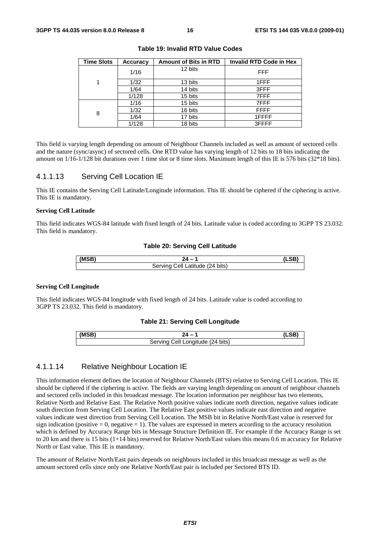| <b>Time Slots</b> | <b>Accuracy</b> | <b>Amount of Bits in RTD</b> | <b>Invalid RTD Code in Hex</b> |
|-------------------|-----------------|------------------------------|--------------------------------|
|                   | 1/16            | 12 bits                      | <b>FFF</b>                     |
| 1                 | 1/32            | 13 bits                      | 1FFF                           |
|                   | 1/64            | 14 bits                      | 3FFF                           |
|                   | 1/128           | 15 bits                      | 7FFF                           |
|                   | 1/16            | 15 bits                      | 7FFF                           |
| 8                 | 1/32            | 16 bits                      | <b>FFFF</b>                    |
|                   | 1/64            | 17 bits                      | 1FFFF                          |
|                   | 1/128           | 18 bits                      | 3FFFF                          |

**Table 19: Invalid RTD Value Codes** 

This field is varying length depending on amount of Neighbour Channels included as well as amount of sectored cells and the nature (sync/async) of sectored cells. One RTD value has varying length of 12 bits to 18 bits indicating the amount on 1/16-1/128 bit durations over 1 time slot or 8 time slots. Maximum length of this IE is 576 bits (32\*18 bits).

### 4.1.1.13 Serving Cell Location IE

This IE contains the Serving Cell Latitude/Longitude information. This IE should be ciphered if the ciphering is active. This IE is mandatory.

#### **Serving Cell Latitude**

This field indicates WGS-84 latitude with fixed length of 24 bits. Latitude value is coded according to 3GPP TS 23.032. This field is mandatory.

#### **Table 20: Serving Cell Latitude**

| (MCR) |                                                     |  |
|-------|-----------------------------------------------------|--|
|       | $(24 \text{ bits})$<br>Servina<br>`atitude .<br>∶≙∥ |  |

#### **Serving Cell Longitude**

This field indicates WGS-84 longitude with fixed length of 24 bits. Latitude value is coded according to 3GPP TS 23.032. This field is mandatory.

#### **Table 21: Serving Cell Longitude**

| (MSB) |                                                      |  |
|-------|------------------------------------------------------|--|
|       | اام`<br><sup>''</sup> Longitude (24 bits)<br>Sarvinc |  |

### 4.1.1.14 Relative Neighbour Location IE

This information element defines the location of Neighbour Channels (BTS) relative to Serving Cell Location. This IE should be ciphered if the ciphering is active. The fields are varying length depending on amount of neighbour channels and sectored cells included in this broadcast message. The location information per neighbour has two elements, Relative North and Relative East. The Relative North positive values indicate north direction, negative values indicate south direction from Serving Cell Location. The Relative East positive values indicate east direction and negative values indicate west direction from Serving Cell Location. The MSB bit in Relative North/East value is reserved for sign indication (positive  $= 0$ , negative  $= 1$ ). The values are expressed in meters according to the accuracy resolution which is defined by Accuracy Range bits in Message Structure Definition IE. For example if the Accuracy Range is set to 20 km and there is 15 bits (1+14 bits) reserved for Relative North/East values this means 0.6 m accuracy for Relative North or East value. This IE is mandatory.

The amount of Relative North/East pairs depends on neighbours included in this broadcast message as well as the amount sectored cells since only one Relative North/East pair is included per Sectored BTS ID.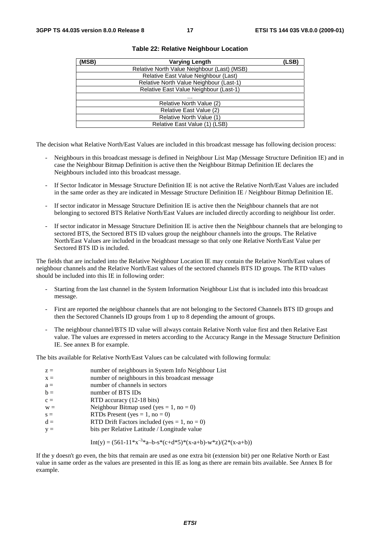| (MSB) | <b>Varying Length</b>                       | (LSB) |
|-------|---------------------------------------------|-------|
|       | Relative North Value Neighbour (Last) (MSB) |       |
|       | Relative East Value Neighbour (Last)        |       |
|       | Relative North Value Neighbour (Last-1)     |       |
|       | Relative East Value Neighbour (Last-1)      |       |
|       | .                                           |       |
|       | Relative North Value (2)                    |       |
|       | Relative East Value (2)                     |       |
|       | Relative North Value (1)                    |       |
|       | Relative East Value (1) (LSB)               |       |

#### **Table 22: Relative Neighbour Location**

The decision what Relative North/East Values are included in this broadcast message has following decision process:

- Neighbours in this broadcast message is defined in Neighbour List Map (Message Structure Definition IE) and in case the Neighbour Bitmap Definition is active then the Neighbour Bitmap Definition IE declares the Neighbours included into this broadcast message.
- If Sector Indicator in Message Structure Definition IE is not active the Relative North/East Values are included in the same order as they are indicated in Message Structure Definition IE / Neighbour Bitmap Definition IE.
- If sector indicator in Message Structure Definition IE is active then the Neighbour channels that are not belonging to sectored BTS Relative North/East Values are included directly according to neighbour list order.
- If sector indicator in Message Structure Definition IE is active then the Neighbour channels that are belonging to sectored BTS, the Sectored BTS ID values group the neighbour channels into the groups. The Relative North/East Values are included in the broadcast message so that only one Relative North/East Value per Sectored BTS ID is included.

The fields that are included into the Relative Neighbour Location IE may contain the Relative North/East values of neighbour channels and the Relative North/East values of the sectored channels BTS ID groups. The RTD values should be included into this IE in following order:

- Starting from the last channel in the System Information Neighbour List that is included into this broadcast message.
- First are reported the neighbour channels that are not belonging to the Sectored Channels BTS ID groups and then the Sectored Channels ID groups from 1 up to 8 depending the amount of groups.
- The neighbour channel/BTS ID value will always contain Relative North value first and then Relative East value. The values are expressed in meters according to the Accuracy Range in the Message Structure Definition IE. See annex B for example.

The bits available for Relative North/East Values can be calculated with following formula:

| $z =$<br>$x =$ | number of neighbours in System Info Neighbour List<br>number of neighbours in this broadcast message |
|----------------|------------------------------------------------------------------------------------------------------|
| $a =$          | number of channels in sectors                                                                        |
| $b =$          | number of BTS IDs                                                                                    |
| $c =$          | RTD accuracy (12-18 bits)                                                                            |
| $W =$          | Neighbour Bitmap used (yes = 1, no = 0)                                                              |
| $s =$          | RTDs Present (yes = 1, no = 0)                                                                       |
| $d =$          | RTD Drift Factors included (yes = $1$ , no = 0)                                                      |
| $V =$          | bits per Relative Latitude / Longitude value                                                         |

Int(y) = 
$$
(561-11*x^{-3}a-b-s*(c+d*5)*(x-a+b)-w*z)/(2*(x-a+b))
$$

If the y doesn't go even, the bits that remain are used as one extra bit (extension bit) per one Relative North or East value in same order as the values are presented in this IE as long as there are remain bits available. See Annex B for example.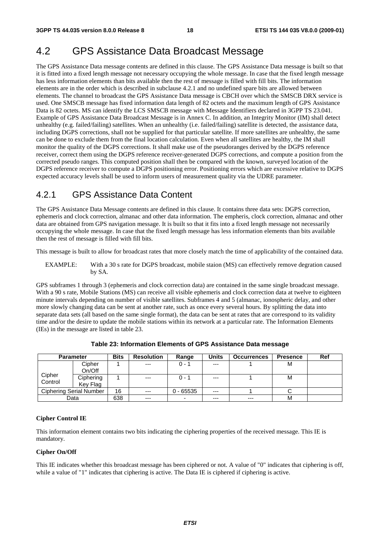# 4.2 GPS Assistance Data Broadcast Message

The GPS Assistance Data message contents are defined in this clause. The GPS Assistance Data message is built so that it is fitted into a fixed length message not necessary occupying the whole message. In case that the fixed length message has less information elements than bits available then the rest of message is filled with fill bits. The information elements are in the order which is described in subclause 4.2.1 and no undefined spare bits are allowed between elements. The channel to broadcast the GPS Assistance Data message is CBCH over which the SMSCB DRX service is used. One SMSCB message has fixed information data length of 82 octets and the maximum length of GPS Assistance Data is 82 octets. MS can identify the LCS SMSCB message with Message Identifiers declared in 3GPP TS 23.041. Example of GPS Assistance Data Broadcast Message is in Annex C. In addition, an Integrity Monitor (IM) shall detect unhealthy (e.g. failed/failing) satellites. When an unhealthy (i.e. failed/failing) satellite is detected, the assistance data, including DGPS corrections, shall not be supplied for that particular satellite. If more satellites are unhealthy, the same can be done to exclude them from the final location calculation. Even when all satellites are healthy, the IM shall monitor the quality of the DGPS corrections. It shall make use of the pseudoranges derived by the DGPS reference receiver, correct them using the DGPS reference receiver-generated DGPS corrections, and compute a position from the corrected pseudo ranges. This computed position shall then be compared with the known, surveyed location of the DGPS reference receiver to compute a DGPS positioning error. Positioning errors which are excessive relative to DGPS expected accuracy levels shall be used to inform users of measurement quality via the UDRE parameter.

# 4.2.1 GPS Assistance Data Content

The GPS Assistance Data Message contents are defined in this clause. It contains three data sets: DGPS correction, ephemeris and clock correction, almanac and other data information. The empheris, clock correction, almanac and other data are obtained from GPS navigation message. It is built so that it fits into a fixed length message not necessarily occupying the whole message. In case that the fixed length message has less information elements than bits available then the rest of message is filled with fill bits.

This message is built to allow for broadcast rates that more closely match the time of applicability of the contained data.

EXAMPLE: With a 30 s rate for DGPS broadcast, mobile staion (MS) can effectively remove degration caused by SA.

GPS subframes 1 through 3 (ephemeris and clock correction data) are contained in the same single broadcast message. With a 90 s rate, Mobile Stations (MS) can receive all visible ephemeris and clock correction data at twelve to eighteen minute intervals depending on number of visible satellites. Subframes 4 and 5 (almanac, ionospheric delay, and other more slowly changing data can be sent at another rate, such as once every several hours. By splitting the data into separate data sets (all based on the same single format), the data can be sent at rates that are correspond to its validity time and/or the desire to update the mobile stations within its network at a particular rate. The Information Elements (IEs) in the message are listed in table 23.

|         | <b>Parameter</b>        | <b>Bits</b> | <b>Resolution</b> | Range       | <b>Units</b> | <b>Occurrences</b> | <b>Presence</b> | Ref |
|---------|-------------------------|-------------|-------------------|-------------|--------------|--------------------|-----------------|-----|
|         | Cipher                  |             | $---$             | $0 - 1$     | $---$        |                    | м               |     |
|         | On/Off                  |             |                   |             |              |                    |                 |     |
| Cipher  | Ciphering               |             | $---$             | $0 - 1$     | $---$        |                    | м               |     |
| Control | Key Flag                |             |                   |             |              |                    |                 |     |
|         | Ciphering Serial Number | 16          | $---$             | $0 - 65535$ | $---$        |                    |                 |     |
|         | Data                    | 638         | $--$              | -           | $---$        | $---$              | M               |     |

**Table 23: Information Elements of GPS Assistance Data message** 

#### **Cipher Control IE**

This information element contains two bits indicating the ciphering properties of the received message. This IE is mandatory.

#### **Cipher On/Off**

This IE indicates whether this broadcast message has been ciphered or not. A value of "0" indicates that ciphering is off, while a value of "1" indicates that ciphering is active. The Data IE is ciphered if ciphering is active.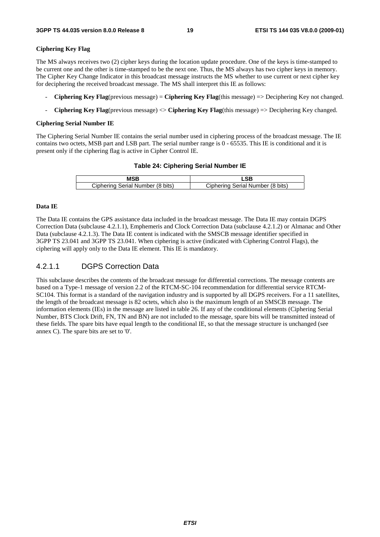#### **Ciphering Key Flag**

The MS always receives two (2) cipher keys during the location update procedure. One of the keys is time-stamped to be current one and the other is time-stamped to be the next one. Thus, the MS always has two cipher keys in memory. The Cipher Key Change Indicator in this broadcast message instructs the MS whether to use current or next cipher key for deciphering the received broadcast message. The MS shall interpret this IE as follows:

- **Ciphering Key Flag**(previous message) = **Ciphering Key Flag**(this message) => Deciphering Key not changed.
- **Ciphering Key Flag**(previous message) <> **Ciphering Key Flag**(this message) => Deciphering Key changed.

#### **Ciphering Serial Number IE**

The Ciphering Serial Number IE contains the serial number used in ciphering process of the broadcast message. The IE contains two octets, MSB part and LSB part. The serial number range is 0 - 65535. This IE is conditional and it is present only if the ciphering flag is active in Cipher Control IE.

#### **Table 24: Ciphering Serial Number IE**

|                                  | eв                               |
|----------------------------------|----------------------------------|
| Ciphering Serial Number (8 bits) | Ciphering Serial Number (8 bits) |

#### **Data IE**

The Data IE contains the GPS assistance data included in the broadcast message. The Data IE may contain DGPS Correction Data (subclause 4.2.1.1), Emphemeris and Clock Correction Data (subclause 4.2.1.2) or Almanac and Other Data (subclause 4.2.1.3). The Data IE content is indicated with the SMSCB message identifier specified in 3GPP TS 23.041 and 3GPP TS 23.041. When ciphering is active (indicated with Ciphering Control Flags), the ciphering will apply only to the Data IE element. This IE is mandatory.

### 4.2.1.1 DGPS Correction Data

This subclause describes the contents of the broadcast message for differential corrections. The message contents are based on a Type-1 message of version 2.2 of the RTCM-SC-104 recommendation for differential service RTCM-SC104. This format is a standard of the navigation industry and is supported by all DGPS receivers. For a 11 satellites, the length of the broadcast message is 82 octets, which also is the maximum length of an SMSCB message. The information elements (IEs) in the message are listed in table 26. If any of the conditional elements (Ciphering Serial Number, BTS Clock Drift, FN, TN and BN) are not included to the message, spare bits will be transmitted instead of these fields. The spare bits have equal length to the conditional IE, so that the message structure is unchanged (see annex C). The spare bits are set to '0'.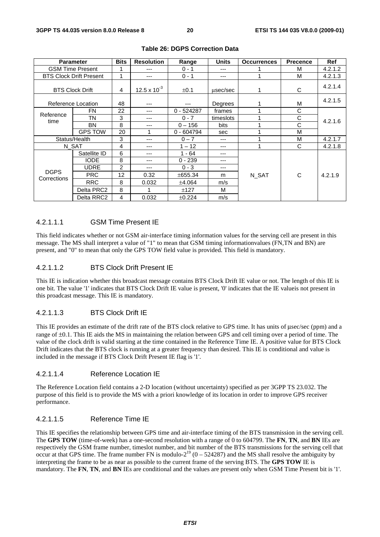|                        | <b>Parameter</b>               | <b>Bits</b>   | <b>Resolution</b> | Range        | <b>Units</b> | <b>Occurrences</b> | <b>Precence</b> | <b>Ref</b> |
|------------------------|--------------------------------|---------------|-------------------|--------------|--------------|--------------------|-----------------|------------|
|                        | <b>GSM Time Present</b>        |               | ---               | $0 - 1$      | ---          |                    | M               | 4.2.1.2    |
|                        | <b>BTS Clock Drift Present</b> | 1             | ---               | $0 - 1$      | ---          |                    | м               | 4.2.1.3    |
| <b>BTS Clock Drift</b> |                                | 4             | 12.5 x $10^{-3}$  | ±0.1         | usec/sec     |                    | C               | 4.2.1.4    |
|                        | Reference Location             | 48            | $- - -$           | $---$        | Degrees      |                    | М               | 4.2.1.5    |
| Reference              | <b>FN</b>                      | 22            | $- - -$           | $0 - 524287$ | frames       |                    | C               |            |
| time                   | TΝ                             | 3             | $- - -$           | $0 - 7$      | timeslots    |                    | С               | 4.2.1.6    |
|                        | <b>BN</b>                      | 8             | $- - -$           | $0 - 156$    | bits         |                    | C               |            |
|                        | <b>GPS TOW</b>                 | 20            | 4                 | $0 - 604794$ | sec          |                    | M               |            |
|                        | Status/Health                  | 3             | $- - -$           | $0 - 7$      | ---          |                    | M               | 4.2.1.7    |
| N SAT                  |                                | 4             | ---               | $1 - 12$     | ---          |                    | C               | 4.2.1.8    |
|                        | Satellite ID                   | 6             | ---               | $1 - 64$     | ---          |                    |                 |            |
|                        | <b>IODE</b>                    | 8             | ---               | $0 - 239$    | ---          |                    |                 |            |
|                        | <b>UDRE</b>                    | $\mathcal{P}$ | ---               | $0 - 3$      | ---          |                    |                 |            |
| <b>DGPS</b>            | <b>PRC</b>                     | 12            | 0.32              | ±655.34      | m            | N SAT              | C               | 4.2.1.9    |
| Corrections            | <b>RRC</b>                     | 8             | 0.032             | ±4.064       | m/s          |                    |                 |            |
|                        | Delta PRC2                     | 8             |                   | ±127         | М            |                    |                 |            |
|                        | Delta RRC2                     | 4             | 0.032             | ±0.224       | m/s          |                    |                 |            |

#### **Table 26: DGPS Correction Data**

#### 4.2.1.1.1 GSM Time Present IE

This field indicates whether or not GSM air-interface timing information values for the serving cell are present in this message. The MS shall interpret a value of "1" to mean that GSM timing informationvalues (FN,TN and BN) are present, and "0" to mean that only the GPS TOW field value is provided. This field is mandatory.

#### 4.2.1.1.2 BTS Clock Drift Present IE

This IE is indication whether this broadcast message contains BTS Clock Drift IE value or not. The length of this IE is one bit. The value '1' indicates that BTS Clock Drift IE value is present, '0' indicates that the IE valueis not present in this proadcast message. This IE is mandatory.

#### 4.2.1.1.3 BTS Clock Drift IE

This IE provides an estimate of the drift rate of the BTS clock relative to GPS time. It has units of μsec/sec (ppm) and a range of ±0.1. This IE aids the MS in maintaining the relation between GPS and cell timing over a period of time. The value of the clock drift is valid starting at the time contained in the Reference Time IE. A positive value for BTS Clock Drift indicates that the BTS clock is running at a greater frequency than desired. This IE is conditional and value is included in the message if BTS Clock Drift Present IE flag is '1'.

#### 4.2.1.1.4 Reference Location IE

The Reference Location field contains a 2-D location (without uncertainty) specified as per 3GPP TS 23.032. The purpose of this field is to provide the MS with a priori knowledge of its location in order to improve GPS receiver performance.

### 4.2.1.1.5 Reference Time IE

This IE specifies the relationship between GPS time and air-interface timing of the BTS transmission in the serving cell. The **GPS TOW** (time-of-week) has a one-second resolution with a range of 0 to 604799. The **FN**, **TN**, and **BN** IEs are respectively the GSM frame number, timeslot number, and bit number of the BTS transmissions for the serving cell that occur at that GPS time. The frame number FN is modulo- $2^{19}$  (0 – 524287) and the MS shall resolve the ambiguity by interpreting the frame to be as near as possible to the current frame of the serving BTS. The **GPS TOW** IE is mandatory. The **FN**, **TN**, and **BN** IEs are conditional and the values are present only when GSM Time Present bit is '1'.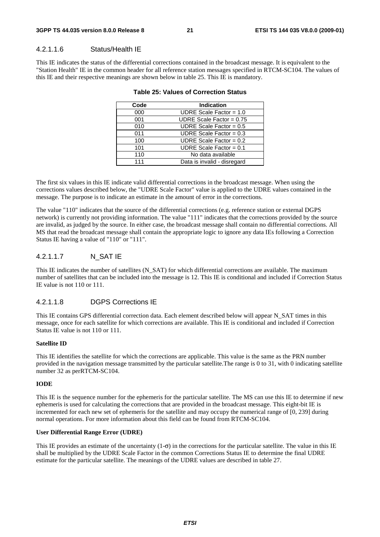#### 4.2.1.1.6 Status/Health IE

This IE indicates the status of the differential corrections contained in the broadcast message. It is equivalent to the "Station Health" IE in the common header for all reference station messages specified in RTCM-SC104. The values of this IE and their respective meanings are shown below in table 25. This IE is mandatory.

| Code | <b>Indication</b>           |
|------|-----------------------------|
| 000  | UDRE Scale Factor = $1.0$   |
| 001  | UDRE Scale Factor = $0.75$  |
| 010  | UDRE Scale Factor = $0.5$   |
| 011  | UDRE Scale Factor = $0.3$   |
| 100  | UDRE Scale Factor = $0.2$   |
| 101  | UDRE Scale Factor = $0.1$   |
| 110  | No data available           |
| 111  | Data is invalid - disregard |
|      |                             |

#### **Table 25: Values of Correction Status**

The first six values in this IE indicate valid differential corrections in the broadcast message. When using the corrections values described below, the "UDRE Scale Factor" value is applied to the UDRE values contained in the message. The purpose is to indicate an estimate in the amount of error in the corrections.

The value "110" indicates that the source of the differential corrections (e.g. reference station or external DGPS network) is currently not providing information. The value "111" indicates that the corrections provided by the source are invalid, as judged by the source. In either case, the broadcast message shall contain no differential corrections. All MS that read the broadcast message shall contain the appropriate logic to ignore any data IEs following a Correction Status IE having a value of "110" or "111".

### 4.2.1.1.7 N\_SAT IE

This IE indicates the number of satellites (N\_SAT) for which differential corrections are available. The maximum number of satellites that can be included into the message is 12. This IE is conditional and included if Correction Status IE value is not 110 or 111.

#### 4.2.1.1.8 DGPS Corrections IE

This IE contains GPS differential correction data. Each element described below will appear N\_SAT times in this message, once for each satellite for which corrections are available. This IE is conditional and included if Correction Status IE value is not 110 or 111.

#### **Satellite ID**

This IE identifies the satellite for which the corrections are applicable. This value is the same as the PRN number provided in the navigation message transmitted by the particular satellite.The range is 0 to 31, with 0 indicating satellite number 32 as perRTCM-SC104.

#### **IODE**

This IE is the sequence number for the ephemeris for the particular satellite. The MS can use this IE to determine if new ephemeris is used for calculating the corrections that are provided in the broadcast message. This eight-bit IE is incremented for each new set of ephemeris for the satellite and may occupy the numerical range of [0, 239] during normal operations. For more information about this field can be found from RTCM-SC104.

#### **User Differential Range Error (UDRE)**

This IE provides an estimate of the uncertainty  $(1-\sigma)$  in the corrections for the particular satellite. The value in this IE shall be multiplied by the UDRE Scale Factor in the common Corrections Status IE to determine the final UDRE estimate for the particular satellite. The meanings of the UDRE values are described in table 27.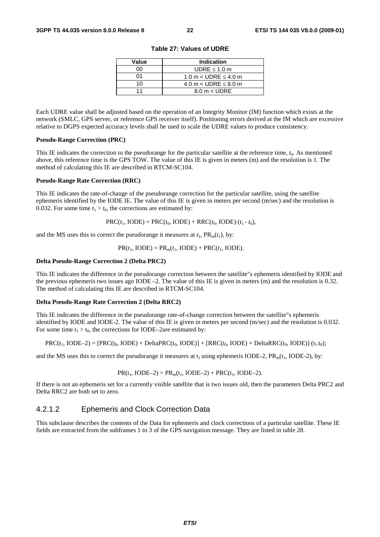| Value | Indication                    |
|-------|-------------------------------|
| იი    | UDRE $\leq 1.0$ m             |
| ሰ1    | 1.0 m $<$ UDRE $\leq$ 4.0 m   |
| 1 በ   | 4.0 m $<$ UDRE $\leq$ 8.0 m   |
|       | $8.0 \text{ m} < \text{UDRE}$ |

**Table 27: Values of UDRE** 

Each UDRE value shall be adjusted based on the operation of an Integrity Monitor (IM) function which exists at the network (SMLC, GPS server, or reference GPS receiver itself). Positioning errors derived at the IM which are excessive relative to DGPS expected accuracy levels shall be used to scale the UDRE values to produce consistency.

#### **Pseudo-Range Correction (PRC)**

This IE indicates the correction to the pseudorange for the particular satellite at the reference time, *t*0. As mentioned above, this reference time is the GPS TOW. The value of this IE is given in meters (m) and the resolution is 1. The method of calculating this IE are described in RTCM-SC104.

#### **Pseudo-Range Rate Correction (RRC)**

This IE indicates the rate-of-change of the pseudorange correction for the particular satellite, using the satellite ephemeris identified by the IODE IE. The value of this IE is given in meters per second (m/sec) and the resolution is 0.032. For some time  $t_1 > t_0$ , the corrections are estimated by:

 $PRC(t_1, IODE) = PRC(t_0, IODE) + RRC(t_0, IODE) \cdot (t_1 - t_0),$ 

and the MS uses this to correct the pseudorange it measures at  $t_1$ ,  $PR_m(t_1)$ , by:

 $PR(t_1, \text{IODE}) = PR_m(t_1, \text{IODE}) + PRC(t_1, \text{IODE}).$ 

#### **Delta Pseudo-Range Correction 2 (Delta PRC2)**

This IE indicates the difference in the pseudorange correction between the satellite"s ephemeris identified by IODE and the previous ephemeris two issues ago IODE –2. The value of this IE is given in meters (m) and the resolution is 0.32. The method of calculating this IE are described in RTCM-SC104.

#### **Delta Pseudo-Range Rate Correction 2 (Delta RRC2)**

This IE indicates the difference in the pseudorange rate-of-change correction between the satellite"s ephemeris identified by IODE and IODE-2. The value of this IE is given in meters per second (m/sec) and the resolution is 0.032. For some time  $t_1 > t_0$ , the corrections for IODE–2are estimated by:

$$
PRC(t_1, \text{IODE-2}) = [PRC(t_0, \text{IODE}) + \text{Delta}PRC(t_0, \text{IODE})] + [RRC(t_0, \text{IODE}) + \text{Delta}RRC(t_0, \text{IODE}) + (t_1, t_0);
$$

and the MS uses this to correct the pseudorange it measures at  $t_1$  using ephemeris IODE-2,  $PR_m(t_1, IODE-2)$ , by:

$$
PR(t_1, IODE-2) = PR_m(t_1, IODE-2) + PRC(t_1, IODE-2).
$$

If there is not an ephemeris set for a currently visible satellite that is two issues old, then the parameters Delta PRC2 and Delta RRC2 are both set to zero.

### 4.2.1.2 Ephemeris and Clock Correction Data

This subclause describes the contents of the Data for ephemeris and clock corrections of a particular satellite. These IE fields are extracted from the subframes 1 to 3 of the GPS navigation message. They are listed in table 28.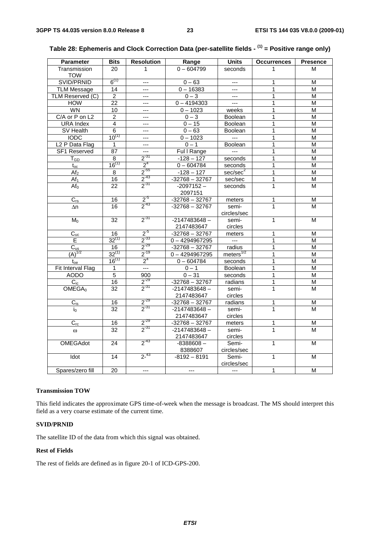| <b>Parameter</b>           | <b>Bits</b>     | <b>Resolution</b> | Range            | <b>Units</b>         | <b>Occurrences</b> | <b>Presence</b>         |
|----------------------------|-----------------|-------------------|------------------|----------------------|--------------------|-------------------------|
| Transmission               | 20              | $\mathbf{1}$      | $0 - 604799$     | seconds              | $\mathbf{1}$       | М                       |
| <b>TOW</b>                 |                 |                   |                  |                      |                    |                         |
| SVID/PRNID                 | $6^{(1)}$       | $---$             | $0 - 63$         | $\overline{a}$       | 1                  | М                       |
| <b>TLM Message</b>         | 14              | $\overline{a}$    | $0 - 16383$      | $\overline{a}$       | 1                  | M                       |
| TLM Reserved (C)           | $\overline{2}$  | ---               | $0 - 3$          | $\overline{a}$       | 1                  | М                       |
| <b>HOW</b>                 | $\overline{22}$ | ---               | $0 - 4194303$    | $\overline{a}$       | 1                  | М                       |
| WN                         | 10              | $\overline{a}$    | $0 - 1023$       | weeks                | 1                  | М                       |
| C/A or P on L2             | $\overline{c}$  | $---$             | $0 - 3$          | <b>Boolean</b>       | 1                  | М                       |
| <b>URA Index</b>           | 4               | $\overline{a}$    | $0 - 15$         | Boolean              | 1                  | M                       |
| SV Health                  | 6               | ---               | $0 - 63$         | <b>Boolean</b>       | 1                  | M                       |
| <b>IODC</b>                | $10^{(1)}$      | $---$             | $0 - 1023$       | $\sim$               | 1                  | М                       |
| L <sub>2</sub> P Data Flag | 1               | $\overline{a}$    | $0 - 1$          | Boolean              | 1                  | М                       |
| <b>SF1 Reserved</b>        | 87              | ---               | Ful I Range      | $\frac{1}{2}$        | 1                  | М                       |
| $T_{GD}$                   | $\overline{8}$  | $2^{31}$          | $-128 - 127$     | seconds              | 1                  | M                       |
| $t_{oc}$                   | $16^{(1)}$      | 2 <sup>4</sup>    | $0 - 604784$     | seconds              | 1                  | M                       |
| Af <sub>2</sub>            | 8               | $2^{55}$          | $-128 - 127$     | sec/sec <sup>2</sup> | 1                  | M                       |
| Af <sub>1</sub>            | 16              | $2^{-43}$         | $-32768 - 32767$ | sec/sec              | 1                  | $\overline{M}$          |
| Af <sub>0</sub>            | $\overline{22}$ | $2^{-31}$         | $-2097152 -$     | seconds              | $\mathbf{1}$       | M                       |
|                            |                 |                   | 2097151          |                      |                    |                         |
| $C_{rs}$                   | 16              | $2^{5}$           | $-32768 - 32767$ | meters               | 1                  | M                       |
| $\Delta n$                 | 16              | $2^{-43}$         | $-32768 - 32767$ | semi-                | 1                  | М                       |
|                            |                 |                   |                  | circles/sec          |                    |                         |
| $M_0$                      | 32              | $2^{-31}$         | $-2147483648 -$  | semi-                | 1                  | М                       |
|                            |                 |                   | 2147483647       | circles              |                    |                         |
| $C_{uc}$                   | 16              | $2^{5}$           | $-32768 - 32767$ | meters               | 1                  | М                       |
| E                          | $32^{(1)}$      | $2^{-33}$         | $0 - 4294967295$ | $\overline{a}$       | 1                  | М                       |
| $\overline{C_{us}}$        | 16              | $2^{-29}$         | $-32768 - 32767$ | radius               | 1                  | $\overline{\mathsf{M}}$ |
| $\overline{(A)}^{1/2}$     | $32^{(1)}$      | $2^{-19}$         | $0 - 4294967295$ | meters $^{1/2}$      | 1                  | М                       |
| $t_{oe}$                   | $16^{(1)}$      | 2 <sup>4</sup>    | $0 - 604784$     | seconds              | $\overline{1}$     | M                       |
| Fit Interval Flag          | 1               | $\overline{a}$    | $0 - 1$          | <b>Boolean</b>       | 1                  | М                       |
| <b>AODO</b>                | $\overline{5}$  | 900               | $0 - 31$         | seconds              | 1                  | Μ                       |
| $C_{ic}$                   | 16              | $2^{-29}$         | $-32768 - 32767$ | radians              | $\overline{1}$     | M                       |
| OMEGA <sub>0</sub>         | $\overline{32}$ | $2^{-31}$         | $-2147483648 -$  | semi-                | $\mathbf{1}$       | М                       |
|                            |                 |                   | 2147483647       | circles              |                    |                         |
| $C_{is}$                   | 16              | $2^{-29}$         | $-32768 - 32767$ | radians              | 1                  | М                       |
| $i_0$                      | 32              | $2^{-31}$         | $-2147483648 -$  | semi-                | $\mathbf{1}$       | м                       |
|                            |                 |                   | 2147483647       | circles              |                    |                         |
| $\overline{C_{rc}}$        | 16              | $2^{-29}$         | $-32768 - 32767$ | meters               | 1                  | M                       |
| $\omega$                   | 32              | $2^{-31}$         | $-2147483648 -$  | semi-                | $\mathbf{1}$       | M                       |
|                            |                 |                   | 2147483647       | circles              |                    |                         |
| <b>OMEGAdot</b>            | 24              | $2^{-43}$         | $-8388608-$      | Semi-                | 1                  | M                       |
|                            |                 |                   | 8388607          | circles/sec          |                    |                         |
| Idot                       | 14              | $2^{-43}$         | $-8192 - 8191$   | Semi-                | 1                  | M                       |
|                            |                 |                   |                  | circles/sec          |                    |                         |
| Spares/zero fill           | 20              | $\overline{a}$    | $\overline{a}$   | $\overline{a}$       | 1                  | M                       |

|  | Table 28: Ephemeris and Clock Correction Data (per-satellite fields - <sup>(1)</sup> = Positive range only) |  |
|--|-------------------------------------------------------------------------------------------------------------|--|
|--|-------------------------------------------------------------------------------------------------------------|--|

#### **Transmission TOW**

This field indicates the approximate GPS time-of-week when the message is broadcast. The MS should interpret this field as a very coarse estimate of the current time.

#### **SVID/PRNID**

The satellite ID of the data from which this signal was obtained.

### **Rest of Fields**

The rest of fields are defined as in figure 20-1 of ICD-GPS-200.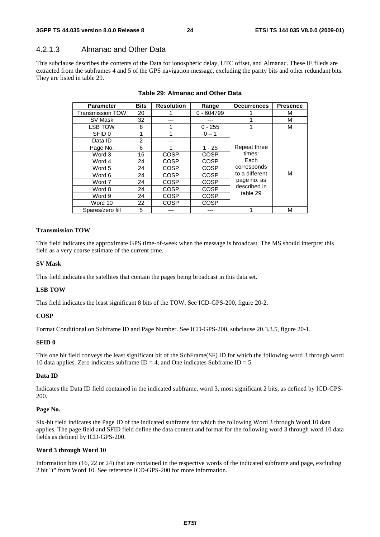### 4.2.1.3 Almanac and Other Data

This subclause describes the contents of the Data for ionospheric delay, UTC offset, and Almanac. These IE fileds are extracted from the subframes 4 and 5 of the GPS navigation message, excluding the parity bits and other redundant bits. They are listed in table 29.

| <b>Parameter</b>        | <b>Bits</b> | <b>Resolution</b> | Range        | <b>Occurrences</b>            | <b>Presence</b> |
|-------------------------|-------------|-------------------|--------------|-------------------------------|-----------------|
| <b>Transmission TOW</b> | 20          |                   | $0 - 604799$ |                               | м               |
| SV Mask                 | 32          |                   |              |                               | М               |
| <b>LSB TOW</b>          | 8           |                   | $0 - 255$    |                               | М               |
| SFID 0                  |             |                   | $0 - 1$      |                               |                 |
| Data ID                 | 2           |                   |              |                               |                 |
| Page No.                | 6           |                   | $1 - 25$     | Repeat three                  |                 |
| Word 3                  | 16          | <b>COSP</b>       | <b>COSP</b>  | times:<br>Each<br>corresponds |                 |
| Word 4                  | 24          | <b>COSP</b>       | <b>COSP</b>  |                               |                 |
| Word 5                  | 24          | <b>COSP</b>       | <b>COSP</b>  |                               |                 |
| Word 6                  | 24          | <b>COSP</b>       | <b>COSP</b>  | to a different                | М               |
| Word 7                  | 24          | <b>COSP</b>       | <b>COSP</b>  | page no. as<br>described in   |                 |
| Word 8                  | 24          | <b>COSP</b>       | COSP         |                               |                 |
| Word 9                  | 24          | <b>COSP</b>       | <b>COSP</b>  | table 29                      |                 |
| Word 10                 | 22          | <b>COSP</b>       | <b>COSP</b>  |                               |                 |
| Spares/zero fill        | 5           |                   |              |                               | М               |

#### **Table 29: Almanac and Other Data**

#### **Transmission TOW**

This field indicates the approximate GPS time-of-week when the message is broadcast. The MS should interpret this field as a very coarse estimate of the current time.

#### **SV Mask**

This field indicates the satellites that contain the pages being broadcast in this data set.

#### **LSB TOW**

This field indicates the least significant 8 bits of the TOW. See ICD-GPS-200, figure 20-2.

#### **COSP**

Format Conditional on Subframe ID and Page Number. See ICD-GPS-200, subclause 20.3.3.5, figure 20-1.

#### **SFID 0**

This one bit field conveys the least significant bit of the SubFrame(SF) ID for which the following word 3 through word 10 data applies. Zero indicates subframe  $ID = 4$ , and One indicates Subframe  $ID = 5$ .

#### **Data ID**

Indicates the Data ID field contained in the indicated subframe, word 3, most significant 2 bits, as defined by ICD-GPS-200.

#### **Page No.**

Six-bit field indicates the Page ID of the indicated subframe for which the following Word 3 through Word 10 data applies. The page field and SFID field define the data content and format for the following word 3 through word 10 data fields as defined by ICD-GPS-200.

#### **Word 3 through Word 10**

Information bits (16, 22 or 24) that are contained in the respective words of the indicated subframe and page, excluding 2 bit "t" from Word 10. See reference ICD-GPS-200 for more information.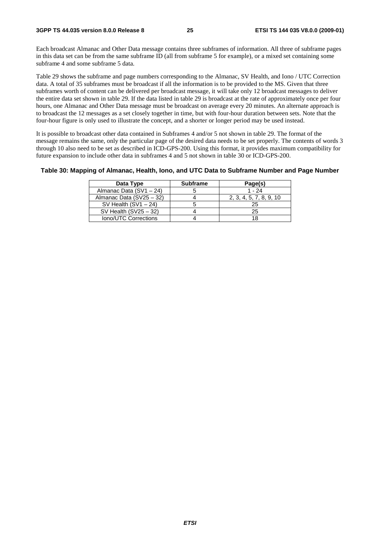Each broadcast Almanac and Other Data message contains three subframes of information. All three of subframe pages in this data set can be from the same subframe ID (all from subframe 5 for example), or a mixed set containing some subframe 4 and some subframe 5 data.

Table 29 shows the subframe and page numbers corresponding to the Almanac, SV Health, and Iono / UTC Correction data. A total of 35 subframes must be broadcast if all the information is to be provided to the MS. Given that three subframes worth of content can be delivered per broadcast message, it will take only 12 broadcast messages to deliver the entire data set shown in table 29. If the data listed in table 29 is broadcast at the rate of approximately once per four hours, one Almanac and Other Data message must be broadcast on average every 20 minutes. An alternate approach is to broadcast the 12 messages as a set closely together in time, but with four-hour duration between sets. Note that the four-hour figure is only used to illustrate the concept, and a shorter or longer period may be used instead.

It is possible to broadcast other data contained in Subframes 4 and/or 5 not shown in table 29. The format of the message remains the same, only the particular page of the desired data needs to be set properly. The contents of words 3 through 10 also need to be set as described in ICD-GPS-200. Using this format, it provides maximum compatibility for future expansion to include other data in subframes 4 and 5 not shown in table 30 or ICD-GPS-200.

#### **Table 30: Mapping of Almanac, Health, Iono, and UTC Data to Subframe Number and Page Number**

| Data Type                | <b>Subframe</b> | Page(s)                 |
|--------------------------|-----------------|-------------------------|
| Almanac Data (SV1 - 24)  |                 | $1 - 24$                |
| Almanac Data (SV25 - 32) |                 | 2, 3, 4, 5, 7, 8, 9, 10 |
| SV Health $(SV1 - 24)$   |                 | 25                      |
| SV Health $(SV25 - 32)$  |                 | 25                      |
| Iono/UTC Corrections     |                 |                         |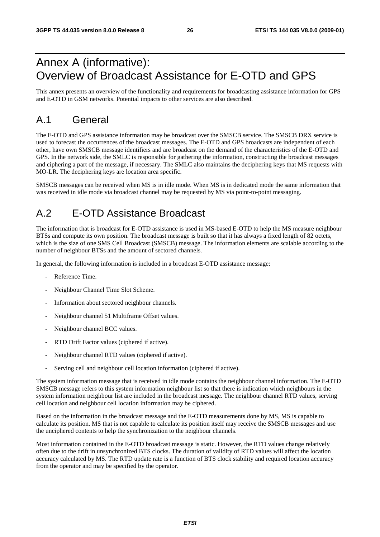# Annex A (informative): Overview of Broadcast Assistance for E-OTD and GPS

This annex presents an overview of the functionality and requirements for broadcasting assistance information for GPS and E-OTD in GSM networks. Potential impacts to other services are also described.

# A.1 General

The E-OTD and GPS assistance information may be broadcast over the SMSCB service. The SMSCB DRX service is used to forecast the occurrences of the broadcast messages. The E-OTD and GPS broadcasts are independent of each other, have own SMSCB message identifiers and are broadcast on the demand of the characteristics of the E-OTD and GPS. In the network side, the SMLC is responsible for gathering the information, constructing the broadcast messages and ciphering a part of the message, if necessary. The SMLC also maintains the deciphering keys that MS requests with MO-LR. The deciphering keys are location area specific.

SMSCB messages can be received when MS is in idle mode. When MS is in dedicated mode the same information that was received in idle mode via broadcast channel may be requested by MS via point-to-point messaging.

# A.2 E-OTD Assistance Broadcast

The information that is broadcast for E-OTD assistance is used in MS-based E-OTD to help the MS measure neighbour BTSs and compute its own position. The broadcast message is built so that it has always a fixed length of 82 octets, which is the size of one SMS Cell Broadcast (SMSCB) message. The information elements are scalable according to the number of neighbour BTSs and the amount of sectored channels.

In general, the following information is included in a broadcast E-OTD assistance message:

- Reference Time.
- Neighbour Channel Time Slot Scheme.
- Information about sectored neighbour channels.
- Neighbour channel 51 Multiframe Offset values.
- Neighbour channel BCC values.
- RTD Drift Factor values (ciphered if active).
- Neighbour channel RTD values (ciphered if active).
- Serving cell and neighbour cell location information (ciphered if active).

The system information message that is received in idle mode contains the neighbour channel information. The E-OTD SMSCB message refers to this system information neighbour list so that there is indication which neighbours in the system information neighbour list are included in the broadcast message. The neighbour channel RTD values, serving cell location and neighbour cell location information may be ciphered.

Based on the information in the broadcast message and the E-OTD measurements done by MS, MS is capable to calculate its position. MS that is not capable to calculate its position itself may receive the SMSCB messages and use the unciphered contents to help the synchronization to the neighbour channels.

Most information contained in the E-OTD broadcast message is static. However, the RTD values change relatively often due to the drift in unsynchronized BTS clocks. The duration of validity of RTD values will affect the location accuracy calculated by MS. The RTD update rate is a function of BTS clock stability and required location accuracy from the operator and may be specified by the operator.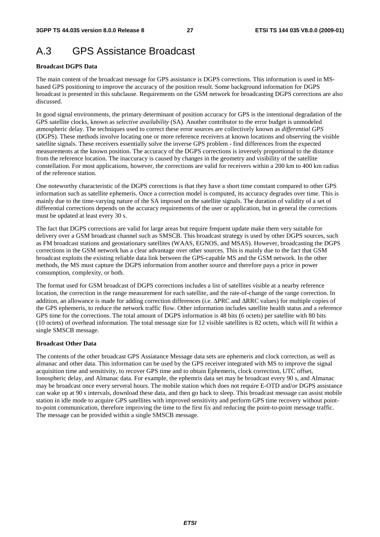# A.3 GPS Assistance Broadcast

#### **Broadcast DGPS Data**

The main content of the broadcast message for GPS assistance is DGPS corrections. This information is used in MSbased GPS positioning to improve the accuracy of the position result. Some background information for DGPS broadcast is presented in this subclause. Requirements on the GSM network for broadcasting DGPS corrections are also discussed.

In good signal environments, the primary determinant of position accuracy for GPS is the intentional degradation of the GPS satellite clocks, known as *selective availability* (SA). Another contributor to the error budget is unmodeled atmospheric delay. The techniques used to correct these error sources are collectively known as *differential GPS* (DGPS). These methods involve locating one or more reference receivers at known locations and observing the visible satellite signals. These receivers essentially solve the inverse GPS problem - find differences from the expected measurements at the known position. The accuracy of the DGPS corrections is inversely proportional to the distance from the reference location. The inaccuracy is caused by changes in the geometry and visibility of the satellite constellation. For most applications, however, the corrections are valid for receivers within a 200 km to 400 km radius of the reference station.

One noteworthy characteristic of the DGPS corrections is that they have a short time constant compared to other GPS information such as satellite ephemeris. Once a correction model is computed, its accuracy degrades over time. This is mainly due to the time-varying nature of the SA imposed on the satellite signals. The duration of validity of a set of differential corrections depends on the accuracy requirements of the user or application, but in general the corrections must be updated at least every 30 s.

The fact that DGPS corrections are valid for large areas but require frequent update make them very suitable for delivery over a GSM broadcast channel such as SMSCB. This broadcast strategy is used by other DGPS sources, such as FM broadcast stations and geostationary satellites (WAAS, EGNOS, and MSAS). However, broadcasting the DGPS corrections in the GSM network has a clear advantage over other sources. This is mainly due to the fact that GSM broadcast exploits the existing reliable data link between the GPS-capable MS and the GSM network. In the other methods, the MS must capture the DGPS information from another source and therefore pays a price in power consumption, complexity, or both.

The format used for GSM broadcast of DGPS corrections includes a list of satellites visible at a nearby reference location, the correction in the range measurement for each satellite, and the rate-of-change of the range correction. In addition, an allowance is made for adding correction differences (i.e. ΔPRC and ΔRRC values) for multiple copies of the GPS ephemeris, to reduce the network traffic flow. Other information includes satellite health status and a reference GPS time for the corrections. The total amount of DGPS information is 48 bits (6 octets) per satellite with 80 bits (10 octets) of overhead information. The total message size for 12 visible satellites is 82 octets, which will fit within a single SMSCB message.

#### **Broadcast Other Data**

The contents of the other broadcast GPS Assiatance Message data sets are ephemeris and clock correction, as well as almanac and other data. This information can be used by the GPS receiver integrated with MS to improve the signal acquisition time and sensitivity, to recover GPS time and to obtain Ephemeris, clock correction, UTC offset, Ionospheric delay, and Almanac data. For example, the ephemris data set may be broadcast every 90 s, and Almanac may be broadcast once every serveral hours. The mobile station which does not require E-OTD and/or DGPS assistance can wake up at 90 s intervals, download these data, and then go back to sleep. This broadcast message can assist mobile station in idle mode to acquire GPS satellites with improved sensitivity and perform GPS time recovery without pointto-point communication, therefore improving the time to the first fix and reducing the point-to-point message traffic. The message can be provided within a single SMSCB message.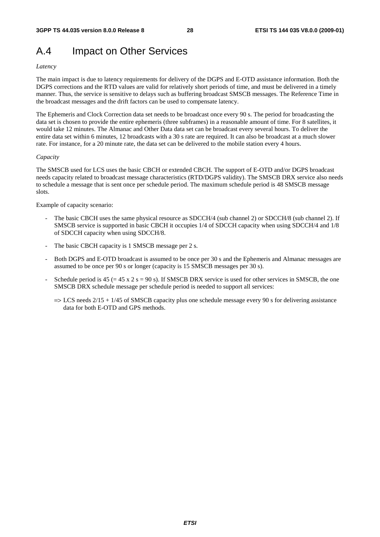# A.4 Impact on Other Services

#### *Latency*

The main impact is due to latency requirements for delivery of the DGPS and E-OTD assistance information. Both the DGPS corrections and the RTD values are valid for relatively short periods of time, and must be delivered in a timely manner. Thus, the service is sensitive to delays such as buffering broadcast SMSCB messages. The Reference Time in the broadcast messages and the drift factors can be used to compensate latency.

The Ephemeris and Clock Correction data set needs to be broadcast once every 90 s. The period for broadcasting the data set is chosen to provide the entire ephemeris (three subframes) in a reasonable amount of time. For 8 satellites, it would take 12 minutes. The Almanac and Other Data data set can be broadcast every several hours. To deliver the entire data set within 6 minutes, 12 broadcasts with a 30 s rate are required. It can also be broadcast at a much slower rate. For instance, for a 20 minute rate, the data set can be delivered to the mobile station every 4 hours.

#### *Capacity*

The SMSCB used for LCS uses the basic CBCH or extended CBCH. The support of E-OTD and/or DGPS broadcast needs capacity related to broadcast message characteristics (RTD/DGPS validity). The SMSCB DRX service also needs to schedule a message that is sent once per schedule period. The maximum schedule period is 48 SMSCB message slots.

Example of capacity scenario:

- The basic CBCH uses the same physical resource as SDCCH/4 (sub channel 2) or SDCCH/8 (sub channel 2). If SMSCB service is supported in basic CBCH it occupies 1/4 of SDCCH capacity when using SDCCH/4 and 1/8 of SDCCH capacity when using SDCCH/8.
- The basic CBCH capacity is 1 SMSCB message per 2 s.
- Both DGPS and E-OTD broadcast is assumed to be once per 30 s and the Ephemeris and Almanac messages are assumed to be once per 90 s or longer (capacity is 15 SMSCB messages per 30 s).
- Schedule period is  $45 (= 45 \times 2 \text{ s} = 90 \text{ s})$ . If SMSCB DRX service is used for other services in SMSCB, the one SMSCB DRX schedule message per schedule period is needed to support all services:
	- $\Rightarrow$  LCS needs 2/15 + 1/45 of SMSCB capacity plus one schedule message every 90 s for delivering assistance data for both E-OTD and GPS methods.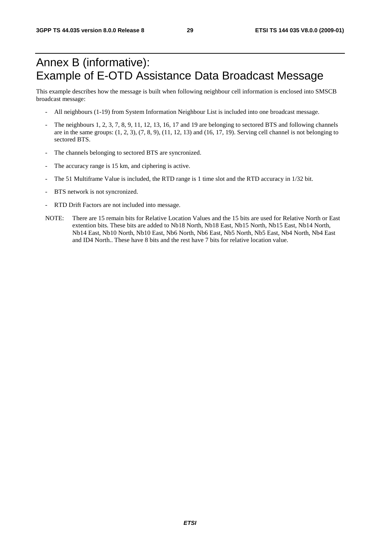# Annex B (informative): Example of E-OTD Assistance Data Broadcast Message

This example describes how the message is built when following neighbour cell information is enclosed into SMSCB broadcast message:

- All neighbours (1-19) from System Information Neighbour List is included into one broadcast message.
- The neighbours 1, 2, 3, 7, 8, 9, 11, 12, 13, 16, 17 and 19 are belonging to sectored BTS and following channels are in the same groups:  $(1, 2, 3)$ ,  $(7, 8, 9)$ ,  $(11, 12, 13)$  and  $(16, 17, 19)$ . Serving cell channel is not belonging to sectored BTS.
- The channels belonging to sectored BTS are syncronized.
- The accuracy range is 15 km, and ciphering is active.
- The 51 Multiframe Value is included, the RTD range is 1 time slot and the RTD accuracy in 1/32 bit.
- BTS network is not syncronized.
- RTD Drift Factors are not included into message.
- NOTE: There are 15 remain bits for Relative Location Values and the 15 bits are used for Relative North or East extention bits. These bits are added to Nb18 North, Nb18 East, Nb15 North, Nb15 East, Nb14 North, Nb14 East, Nb10 North, Nb10 East, Nb6 North, Nb6 East, Nb5 North, Nb5 East, Nb4 North, Nb4 East and ID4 North.. These have 8 bits and the rest have 7 bits for relative location value.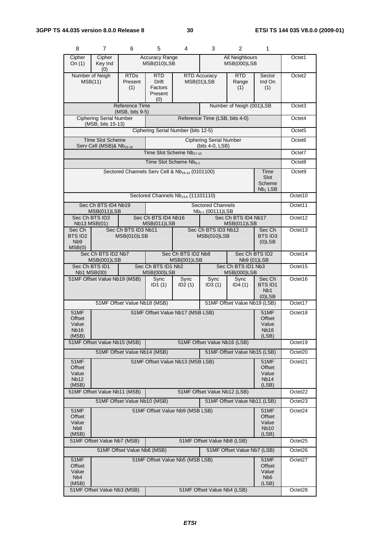| 8                                                    | $\overline{7}$                                                                            | 6                                          | 5                                                                     | 4                                                           | 3                                                        | 2                                                           | 1                                                         |                    |
|------------------------------------------------------|-------------------------------------------------------------------------------------------|--------------------------------------------|-----------------------------------------------------------------------|-------------------------------------------------------------|----------------------------------------------------------|-------------------------------------------------------------|-----------------------------------------------------------|--------------------|
| Cipher<br>On $(1)$                                   | Cipher<br>Key Ind<br>(0)                                                                  |                                            | <b>Accuracy Range</b><br>All Neighbours<br>MSB(010)LSB<br>MSB(000)LSB |                                                             | Octet1                                                   |                                                             |                                                           |                    |
|                                                      | Number of Neigh<br><b>RTDs</b><br>MSB(11)<br>Present<br>(1)                               |                                            | RTD.<br><b>Drift</b><br>Factors<br>Present<br>(0)                     |                                                             | <b>RTD Accuracy</b><br>MSB(01)LSB                        | <b>RTD</b><br>Range<br>(1)                                  | Sector<br>Ind On<br>(1)                                   | Octet <sub>2</sub> |
|                                                      |                                                                                           | <b>Reference Time</b><br>$(MSB, bits 9-5)$ |                                                                       | Number of Neigh (001)LSB                                    |                                                          |                                                             |                                                           | Octet <sub>3</sub> |
|                                                      | <b>Ciphering Serial Number</b><br>(MSB, bits 15-13)                                       |                                            | Reference Time (LSB, bits 4-0)                                        |                                                             |                                                          |                                                             | Octet4                                                    |                    |
|                                                      |                                                                                           |                                            |                                                                       | Ciphering Serial Number (bits 12-5)                         |                                                          |                                                             |                                                           | Octet <sub>5</sub> |
|                                                      | <b>Time Slot Scheme</b><br>Serv Cell (MSB)& Nb <sub>19-18</sub>                           |                                            |                                                                       |                                                             | <b>Ciphering Serial Number</b><br>(bits 4-0, LSB)        |                                                             |                                                           | Octet <sub>6</sub> |
|                                                      |                                                                                           |                                            |                                                                       | Time Slot Scheme Nb17-10                                    |                                                          |                                                             |                                                           | Octet7             |
|                                                      |                                                                                           |                                            |                                                                       | Time Slot Scheme Nb <sub>9-2</sub>                          |                                                          |                                                             |                                                           | Octet8             |
|                                                      |                                                                                           |                                            |                                                                       | Sectored Channels Serv Cell & Nb <sub>19-14</sub> (0101100) |                                                          |                                                             | Time<br>Slot<br>Scheme<br>$Nb1$ LSB                       | Octet <sub>9</sub> |
|                                                      |                                                                                           |                                            |                                                                       | Sectored Channels Nb <sub>13-6</sub> (11101110)             |                                                          |                                                             |                                                           | Octet10            |
|                                                      | Sec Ch BTS ID4 Nb19<br>MSB(011)LSB                                                        |                                            |                                                                       |                                                             | <b>Sectored Channels</b><br>Nb <sub>5-1</sub> (00111)LSB |                                                             |                                                           | Octet11            |
|                                                      | Sec Ch BTS ID3<br>Nb13 MSB(01)                                                            |                                            | Sec Ch BTS ID4 Nb16<br>MSB(011)LSB                                    |                                                             |                                                          | Sec Ch BTS ID4 Nb17<br>MSB(011)LSB                          |                                                           | Octet12            |
| Sec Ch<br>BTS ID2<br>N <sub>b</sub> 9<br>MSB(0)      |                                                                                           | Sec Ch BTS ID3 Nb11<br>MSB(010)LSB         |                                                                       | Sec Ch BTS ID3 Nb12<br>MSB(010)LSB                          |                                                          | Sec Ch<br>BTS ID3<br>$(0)$ LSB                              | Octet13                                                   |                    |
|                                                      | Sec Ch BTS ID2 Nb7<br>Sec Ch BTS ID2 Nb8<br>MSB(001)LSB<br>MSB(001)LSB                    |                                            |                                                                       | Sec Ch BTS ID2<br>Nb9 (01)LSB                               |                                                          | Octet14                                                     |                                                           |                    |
| <b>Nb1 MSB(00)</b>                                   | Sec Ch BTS ID1 Nb2<br>Sec Ch BTS ID1<br><b>MSB(000)LSB</b>                                |                                            |                                                                       | Sec Ch BTS ID1 Nb3<br><b>MSB(000)LSB</b>                    |                                                          |                                                             |                                                           | Octet15            |
|                                                      | 51MF Offset Value Nb19 (MSB)                                                              |                                            |                                                                       | Sync<br>ID2(1)                                              | Sync<br>ID3(1)                                           | Sync<br>ID4(1)                                              | Sec Ch<br><b>BTS ID1</b><br>N <sub>b</sub> 1<br>$(0)$ LSB | Octet16            |
| 51MF Offset Value Nb18 (MSB)                         |                                                                                           |                                            |                                                                       |                                                             |                                                          | 51MF Offset Value Nb19 (LSB)                                |                                                           | Octet17            |
| 51MF<br>Offset<br>Value<br>Nb16<br>(MSB)             | 51MF Offset Value Nb17 (MSB LSB)                                                          |                                            |                                                                       |                                                             |                                                          | <b>51MF</b><br>Offset<br>Value<br>Nb <sub>18</sub><br>(LSB) | Octet18                                                   |                    |
|                                                      | 51MF Offset Value Nb15 (MSB)                                                              |                                            |                                                                       |                                                             | 51MF Offset Value Nb16 (LSB)                             |                                                             |                                                           | Octet19            |
|                                                      |                                                                                           | 51MF Offset Value Nb14 (MSB)               |                                                                       | 51MF Offset Value Nb15 (LSB)                                |                                                          |                                                             |                                                           | Octet20            |
| 51MF<br>Offset<br>Value<br><b>Nb12</b><br>(MSB)      | 51MF Offset Value Nb13 (MSB LSB)<br>51MF<br>Offset<br>Value<br>Nb <sub>14</sub><br>(LSB)  |                                            |                                                                       |                                                             |                                                          | Octet21                                                     |                                                           |                    |
|                                                      | 51MF Offset Value Nb11 (MSB)<br>51MF Offset Value Nb12 (LSB)                              |                                            |                                                                       |                                                             | Octet22                                                  |                                                             |                                                           |                    |
| 51MF                                                 | 51MF Offset Value Nb10 (MSB)<br>51MF Offset Value Nb11 (LSB)                              |                                            |                                                                       |                                                             |                                                          |                                                             | Octet <sub>23</sub><br>Octet24                            |                    |
| Offset<br>Value<br>N <sub>b</sub> 8<br>(MSB)         | 51MF Offset Value Nb9 (MSB LSB)<br><b>51MF</b><br>Offset<br>Value<br><b>Nb10</b><br>(LSB) |                                            |                                                                       |                                                             |                                                          |                                                             |                                                           |                    |
|                                                      | 51MF Offset Value Nb7 (MSB)<br>51MF Offset Value Nb8 (LSB)                                |                                            |                                                                       |                                                             |                                                          |                                                             |                                                           | Octet25            |
|                                                      |                                                                                           | 51MF Offset Value Nb6 (MSB)                |                                                                       |                                                             |                                                          | 51MF Offset Value Nb7 (LSB)                                 |                                                           | Octet26            |
| 51MF<br>Offset<br>Value<br>N <sub>b</sub> 4<br>(MSB) | 51MF Offset Value Nb5 (MSB LSB)                                                           |                                            |                                                                       |                                                             |                                                          | 51MF<br>Offset<br>Value<br>N <sub>b</sub> 6<br>(LSB)        | Octet27                                                   |                    |
|                                                      | 51MF Offset Value Nb3 (MSB)                                                               |                                            |                                                                       |                                                             | 51MF Offset Value Nb4 (LSB)                              |                                                             |                                                           | Octet28            |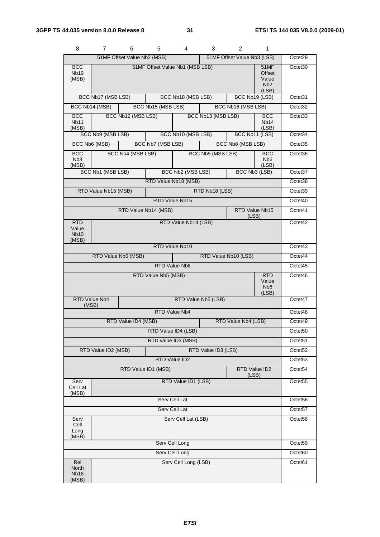| 8                                           | 7                                             | 6                           | 5                   | 4                               | 3                   | 2                           | 1                                                           |                     |
|---------------------------------------------|-----------------------------------------------|-----------------------------|---------------------|---------------------------------|---------------------|-----------------------------|-------------------------------------------------------------|---------------------|
|                                             |                                               | 51MF Offset Value Nb2 (MSB) |                     |                                 |                     | 51MF Offset Value Nb3 (LSB) |                                                             | Octet29             |
| <b>BCC</b><br>Nb <sub>19</sub><br>(MSB)     |                                               |                             |                     | 51MF Offset Value Nb1 (MSB LSB) |                     |                             | <b>51MF</b><br>Offset<br>Value<br>N <sub>b</sub> 2<br>(LSB) | Octet <sub>30</sub> |
|                                             | BCC Nb17 (MSB LSB)                            |                             |                     | BCC Nb18 (MSB LSB)              |                     | BCC Nb19 (LSB)              |                                                             | Octet31             |
|                                             | BCC Nb14 (MSB)                                |                             | BCC Nb15 (MSB LSB)  |                                 |                     | BCC Nb16 (MSB LSB)          |                                                             | Octet <sub>32</sub> |
| <b>BCC</b><br>Nb11<br>(MSB)                 |                                               | BCC Nb12 (MSB LSB)          |                     |                                 | BCC Nb13 (MSB LSB)  |                             | <b>BCC</b><br>Nb <sub>14</sub><br>(LSB)                     | Octet <sub>33</sub> |
|                                             | BCC Nb9 (MSB LSB)                             |                             |                     | BCC Nb10 (MSB LSB)              |                     | BCC Nb11 (LSB)              |                                                             | Octet34             |
|                                             | BCC Nb6 (MSB)                                 |                             | BCC Nb7 (MSB LSB)   |                                 |                     | BCC Nb8 (MSB LSB)           |                                                             | Octet35             |
| <b>BCC</b><br>N <sub>b</sub> 3<br>(MSB)     |                                               | BCC Nb4 (MSB LSB)           |                     |                                 | BCC Nb5 (MSB LSB)   |                             | <b>BCC</b><br>N <sub>b</sub> 6<br>(LSB)                     | Octet36             |
|                                             | BCC Nb1 (MSB LSB)                             |                             |                     | BCC Nb2 (MSB LSB)               |                     | BCC Nb3 (LSB)               |                                                             | Octet37             |
|                                             |                                               |                             |                     | RTD Value Nb18 (MSB)            |                     |                             |                                                             | Octet38             |
|                                             | RTD Value Nb15 (MSB)                          |                             |                     |                                 | RTD Nb18 (LSB)      |                             |                                                             | Octet39             |
|                                             |                                               |                             |                     | RTD Value Nb15                  |                     |                             |                                                             | Octet40             |
|                                             |                                               | RTD Value Nb14 (MSB)        |                     |                                 |                     | RTD Value Nb15<br>(LSB)     |                                                             | Octet41             |
| <b>RTD</b><br>Value<br><b>Nb10</b><br>(MSB) |                                               |                             |                     | RTD Value Nb14 (LSB)            |                     |                             |                                                             | Octet42             |
|                                             |                                               |                             |                     | RTD Value Nb10                  |                     |                             |                                                             | Octet43             |
|                                             |                                               | RTD Value Nb6 (MSB)         |                     |                                 |                     | RTD Value Nb10 (LSB)        |                                                             | Octet44             |
|                                             | RTD Value Nb6                                 |                             |                     |                                 |                     |                             |                                                             | Octet45             |
|                                             |                                               |                             | RTD Value Nb5 (MSB) |                                 |                     |                             | <b>RTD</b><br>Value<br>N <sub>b</sub> <sub>6</sub><br>(LSB) | Octet46             |
| <b>RTD Value Nb4</b><br>(MSB)               |                                               |                             |                     |                                 | RTD Value Nb5 (LSB) |                             |                                                             | Octet47             |
|                                             |                                               |                             |                     | RTD Value Nb4                   |                     |                             |                                                             | Octet48             |
|                                             |                                               | RTD Value ID4 (MSB)         |                     |                                 |                     | RTD Value Nb4 (LSB)         |                                                             | Octet49             |
|                                             |                                               |                             |                     | RTD Value ID4 (LSB)             |                     |                             |                                                             | Octet <sub>50</sub> |
|                                             |                                               |                             |                     | RTD value ID3 (MSB)             |                     |                             |                                                             | Octet <sub>51</sub> |
|                                             | RTD Value ID2 (MSB)                           |                             |                     |                                 | RTD Value ID3 (LSB) |                             |                                                             | Octet52             |
|                                             |                                               |                             |                     | RTD Value ID2                   |                     |                             |                                                             | Octet <sub>53</sub> |
|                                             | RTD Value ID2<br>RTD Value ID1 (MSB)<br>(LSB) |                             |                     |                                 |                     |                             |                                                             | Octet54             |
| Serv<br>Cell Lat<br>(MSB)                   |                                               |                             |                     | RTD Value ID1 (LSB)             |                     |                             |                                                             | Octet <sub>55</sub> |
| Serv Cell Lat                               |                                               |                             |                     |                                 |                     |                             | Octet <sub>56</sub>                                         |                     |
| Serv Cell Lat                               |                                               |                             |                     |                                 |                     |                             | Octet57                                                     |                     |
| Serv<br>Cell<br>Long<br>(MSB)               |                                               |                             |                     | Serv Cell Lat (LSB)             |                     |                             |                                                             | Octet58             |
|                                             |                                               |                             |                     | Serv Cell Long                  |                     |                             |                                                             | Octet59             |
|                                             |                                               |                             |                     | Serv Cell Long                  |                     |                             |                                                             | Octet60             |
| Rel<br>North<br><b>Nb18</b><br>(MSB)        |                                               |                             |                     | Serv Cell Long (LSB)            |                     |                             |                                                             | Octet61             |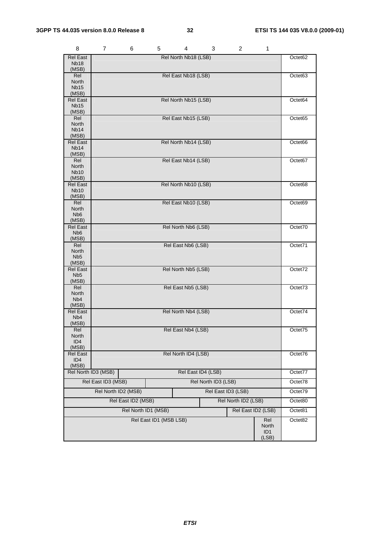| 8                                                       | $\overline{7}$      | 6                   | 5                      | 4                    | 3                   | $\overline{2}$      | 1                                        |                     |
|---------------------------------------------------------|---------------------|---------------------|------------------------|----------------------|---------------------|---------------------|------------------------------------------|---------------------|
| Rel East<br><b>Nb18</b><br>(MSB)                        |                     |                     |                        | Rel North Nb18 (LSB) |                     |                     |                                          | Octet <sub>62</sub> |
| Rel<br>North<br><b>Nb15</b>                             |                     |                     |                        | Rel East Nb18 (LSB)  |                     |                     |                                          | Octet63             |
| (MSB)<br>Rel East<br><b>Nb15</b><br>(MSB)               |                     |                     |                        | Rel North Nb15 (LSB) |                     |                     |                                          | Octet64             |
| Rel<br>North<br>Nb <sub>14</sub>                        |                     |                     |                        | Rel East Nb15 (LSB)  |                     |                     |                                          | Octet65             |
| (MSB)<br><b>Rel East</b><br><b>Nb14</b><br>(MSB)        |                     |                     |                        | Rel North Nb14 (LSB) |                     |                     |                                          | Octet66             |
| Rel<br>North<br><b>Nb10</b><br>(MSB)                    |                     |                     |                        | Rel East Nb14 (LSB)  |                     |                     |                                          | Octet67             |
| <b>Rel East</b><br><b>Nb10</b><br>(MSB)                 |                     |                     |                        | Rel North Nb10 (LSB) |                     |                     |                                          | Octet68             |
| Rel<br>North<br>N <sub>b</sub> 6<br>(MSB)               |                     |                     |                        | Rel East Nb10 (LSB)  |                     |                     |                                          | Octet69             |
| <b>Rel East</b><br>N <sub>b</sub> <sub>6</sub><br>(MSB) |                     |                     |                        | Rel North Nb6 (LSB)  |                     |                     |                                          | Octet70             |
| Rel<br><b>North</b><br>N <sub>b5</sub><br>(MSB)         |                     |                     |                        | Rel East Nb6 (LSB)   |                     |                     |                                          | Octet71             |
| <b>Rel East</b><br>N <sub>b5</sub><br>(MSB)             |                     |                     |                        | Rel North Nb5 (LSB)  |                     |                     |                                          | Octet72             |
| Rel<br>North<br>N <sub>b</sub> 4<br>(MSB)               |                     |                     |                        | Rel East Nb5 (LSB)   |                     |                     |                                          | Octet73             |
| <b>Rel East</b><br>N <sub>b</sub> 4<br>(MSB)            |                     | Rel North Nb4 (LSB) |                        |                      |                     |                     |                                          | Octet74             |
| Rel<br>North<br>ID <sub>4</sub><br>(MSB)                | Rel East Nb4 (LSB)  |                     |                        |                      |                     |                     | Octet75                                  |                     |
| Rel East<br>ID4<br>(MSB)                                |                     |                     |                        | Rel North ID4 (LSB)  |                     |                     |                                          | Octet76             |
|                                                         | Rel North ID3 (MSB) |                     |                        |                      | Rel East ID4 (LSB)  |                     |                                          | Octet77             |
|                                                         | Rel East ID3 (MSB)  |                     |                        |                      | Rel North ID3 (LSB) |                     |                                          | Octet78             |
|                                                         | Rel North ID2 (MSB) |                     |                        |                      |                     | Rel East ID3 (LSB)  |                                          | Octet79             |
|                                                         |                     | Rel East ID2 (MSB)  |                        |                      |                     | Rel North ID2 (LSB) |                                          | Octet80             |
|                                                         |                     | Rel North ID1 (MSB) |                        |                      |                     |                     | Rel East ID2 (LSB)                       | Octet81             |
|                                                         |                     |                     | Rel East ID1 (MSB LSB) |                      |                     |                     | Rel<br>North<br>ID <sub>1</sub><br>(LSB) | Octet82             |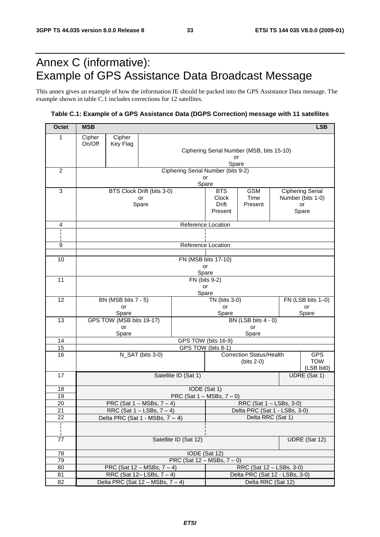# Annex C (informative): Example of GPS Assistance Data Broadcast Message

This annex gives an example of how the information IE should be packed into the GPS Assistance Data message. The example shown in table C.1 includes corrections for 12 satellites.

### **Table C.1: Example of a GPS Assistance Data (DGPS Correction) message with 11 satellites**

| <b>Octet</b>          | <b>MSB</b>                                                                                   |              |                                    |                                                 |                                                    |                                 |  |  | <b>LSB</b>              |
|-----------------------|----------------------------------------------------------------------------------------------|--------------|------------------------------------|-------------------------------------------------|----------------------------------------------------|---------------------------------|--|--|-------------------------|
| 1                     | Cipher                                                                                       | Cipher       |                                    |                                                 |                                                    |                                 |  |  |                         |
|                       | On/Off                                                                                       | Key Flag     |                                    |                                                 |                                                    |                                 |  |  |                         |
|                       |                                                                                              |              |                                    | Ciphering Serial Number (MSB, bits 15-10)<br>or |                                                    |                                 |  |  |                         |
|                       |                                                                                              |              |                                    |                                                 | Spare                                              |                                 |  |  |                         |
| $\overline{c}$        |                                                                                              |              |                                    | Ciphering Serial Number (bits 9-2)              |                                                    |                                 |  |  |                         |
|                       |                                                                                              |              |                                    | or<br>Spare                                     |                                                    |                                 |  |  |                         |
| 3                     |                                                                                              |              | BTS Clock Drift (bits 3-0)         |                                                 | <b>BTS</b>                                         | <b>GSM</b>                      |  |  | <b>Ciphering Serial</b> |
|                       |                                                                                              |              | or                                 |                                                 | Clock                                              | Time                            |  |  | Number (bits 1-0)       |
|                       |                                                                                              |              | Spare                              |                                                 | Drift<br>Present                                   | Present                         |  |  | or<br>Spare             |
|                       |                                                                                              |              |                                    |                                                 |                                                    |                                 |  |  |                         |
| $\overline{4}$        |                                                                                              |              |                                    | Reference Location                              |                                                    |                                 |  |  |                         |
|                       |                                                                                              |              |                                    |                                                 |                                                    |                                 |  |  |                         |
| 9                     |                                                                                              |              |                                    | Reference Location                              |                                                    |                                 |  |  |                         |
|                       |                                                                                              |              |                                    |                                                 |                                                    |                                 |  |  |                         |
| 10                    |                                                                                              |              |                                    | FN (MSB bits 17-10)                             |                                                    |                                 |  |  |                         |
|                       |                                                                                              |              |                                    | Spare                                           | or                                                 |                                 |  |  |                         |
| 11                    |                                                                                              |              |                                    | FN (bits 9-2)                                   |                                                    |                                 |  |  |                         |
|                       |                                                                                              |              |                                    | or                                              |                                                    |                                 |  |  |                         |
| 12                    | Spare<br>BN (MSB bits 7 - 5)<br>FN (LSB bits 1-0)<br>TN (bits 3-0)                           |              |                                    |                                                 |                                                    |                                 |  |  |                         |
|                       |                                                                                              | or           |                                    |                                                 | or                                                 |                                 |  |  | or                      |
| 13                    |                                                                                              | Spare        |                                    |                                                 | Spare                                              | BN (LSB bits $4 - 0$ )          |  |  | Spare                   |
|                       | GPS TOW (MSB bits 19-17)<br>or                                                               |              |                                    |                                                 |                                                    | or                              |  |  |                         |
|                       | Spare                                                                                        |              |                                    |                                                 |                                                    | Spare                           |  |  |                         |
| 14                    | GPS TOW (bits 16-9)<br>GPS TOW (bits 8-1)                                                    |              |                                    |                                                 |                                                    |                                 |  |  |                         |
| 15<br>16              |                                                                                              |              | N_SAT (bits 3-0)                   |                                                 |                                                    | <b>Correction Status/Health</b> |  |  | <b>GPS</b>              |
|                       |                                                                                              |              |                                    |                                                 |                                                    | $(bits 2-0)$                    |  |  | <b>TOW</b>              |
|                       |                                                                                              |              |                                    |                                                 |                                                    |                                 |  |  | (LSB bit0)              |
| 17                    |                                                                                              |              |                                    | Satellite ID (Sat 1)                            |                                                    |                                 |  |  | UDRE (Sat 1)            |
| 18                    |                                                                                              | IODE (Sat 1) |                                    |                                                 |                                                    |                                 |  |  |                         |
| 19                    |                                                                                              |              |                                    | PRC (Sat $1 - MSBs$ , $7 - 0$ )                 |                                                    |                                 |  |  |                         |
| 20                    | RRC (Sat 1 - LSBs, 3-0)<br>PRC (Sat $1 - MSBs$ , $7 - 4$ )<br>RRC (Sat $1 -$ LSBs, $7 - 4$ ) |              |                                    |                                                 |                                                    |                                 |  |  |                         |
| $\overline{21}$<br>22 |                                                                                              |              |                                    |                                                 | Delta PRC (Sat 1 - LSBs, 3-0)<br>Delta RRC (Sat 1) |                                 |  |  |                         |
| i.                    |                                                                                              |              | Delta PRC (Sat 1 - MSBs, $7 - 4$ ) |                                                 |                                                    |                                 |  |  |                         |
|                       |                                                                                              |              |                                    |                                                 |                                                    |                                 |  |  |                         |
| 77                    | Satellite ID (Sat 12)                                                                        |              |                                    |                                                 |                                                    |                                 |  |  | UDRE (Sat 12)           |
| 78                    |                                                                                              |              |                                    | IODE (Sat 12)                                   |                                                    |                                 |  |  |                         |
| 79                    |                                                                                              |              |                                    | PRC (Sat $12 - MSBs$ , $7 - 0$ )                |                                                    |                                 |  |  |                         |
| 80                    |                                                                                              |              | PRC (Sat $12 - MSBs$ , $7 - 4$ )   |                                                 |                                                    | RRC (Sat 12 - LSBs, 3-0)        |  |  |                         |
| 81                    |                                                                                              |              | RRC (Sat $12 - LSBs$ , $7 - 4$ )   |                                                 |                                                    | Delta PRC (Sat 12 - LSBs, 3-0)  |  |  |                         |
| 82                    | Delta PRC (Sat 12 - MSBs, 7 - 4)<br>Delta RRC (Sat 12)                                       |              |                                    |                                                 |                                                    |                                 |  |  |                         |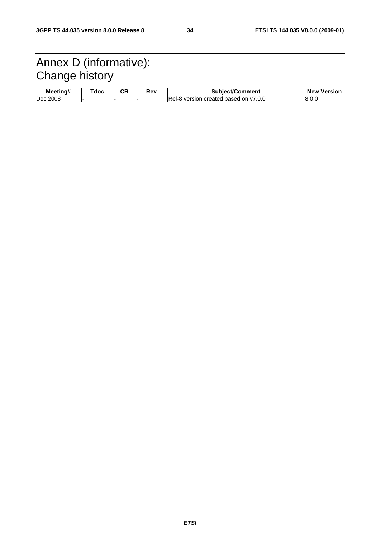# Annex D (informative): Change history

| Meetina# | <sup>-</sup> doc | ◠⊓<br>vr. | Rev | <b>Subiect/Comment</b>                 | <b>New</b><br>Versior |
|----------|------------------|-----------|-----|----------------------------------------|-----------------------|
| Dec 2008 |                  |           |     | IRel-8 version created based on y7.0.0 | ∟.8.0 ا               |